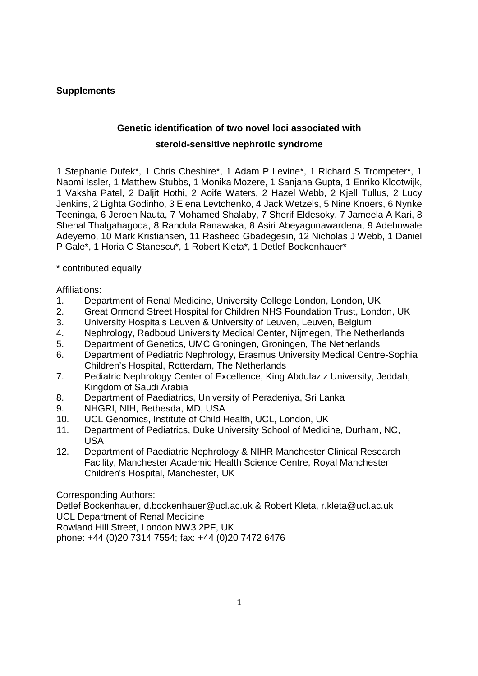#### **Supplements**

# **Genetic identification of two novel loci associated with**

**steroid-sensitive nephrotic syndrome**

1 Stephanie Dufek\*, 1 Chris Cheshire\*, 1 Adam P Levine\*, 1 Richard S Trompeter\*, 1 Naomi Issler, 1 Matthew Stubbs, 1 Monika Mozere, 1 Sanjana Gupta, 1 Enriko Klootwijk, 1 Vaksha Patel, 2 Daljit Hothi, 2 Aoife Waters, 2 Hazel Webb, 2 Kjell Tullus, 2 Lucy Jenkins, 2 Lighta Godinho, 3 Elena Levtchenko, 4 Jack Wetzels, 5 Nine Knoers, 6 Nynke Teeninga, 6 Jeroen Nauta, 7 Mohamed Shalaby, 7 Sherif Eldesoky, 7 Jameela A Kari, 8 Shenal Thalgahagoda, 8 Randula Ranawaka, 8 Asiri Abeyagunawardena, 9 Adebowale Adeyemo, 10 Mark Kristiansen, 11 Rasheed Gbadegesin, 12 Nicholas J Webb, 1 Daniel P Gale\*, 1 Horia C Stanescu\*, 1 Robert Kleta\*, 1 Detlef Bockenhauer\*

\* contributed equally

Affiliations:

- 1. Department of Renal Medicine, University College London, London, UK
- 2. Great Ormond Street Hospital for Children NHS Foundation Trust, London, UK
- 3. University Hospitals Leuven & University of Leuven, Leuven, Belgium
- 4. Nephrology, Radboud University Medical Center, Nijmegen, The Netherlands
- 5. Department of Genetics, UMC Groningen, Groningen, The Netherlands
- 6. Department of Pediatric Nephrology, Erasmus University Medical Centre-Sophia Children's Hospital, Rotterdam, The Netherlands
- 7. Pediatric Nephrology Center of Excellence, King Abdulaziz University, Jeddah, Kingdom of Saudi Arabia
- 8. Department of Paediatrics, University of Peradeniya, Sri Lanka
- 9. NHGRI, NIH, Bethesda, MD, USA
- 10. UCL Genomics, Institute of Child Health, UCL, London, UK
- 11. Department of Pediatrics, Duke University School of Medicine, Durham, NC, USA
- 12. Department of Paediatric Nephrology & NIHR Manchester Clinical Research Facility, Manchester Academic Health Science Centre, Royal Manchester Children's Hospital, Manchester, UK

Corresponding Authors:

Detlef Bockenhauer, d.bockenhauer@ucl.ac.uk & Robert Kleta, r.kleta@ucl.ac.uk UCL Department of Renal Medicine

Rowland Hill Street, London NW3 2PF, UK

phone: +44 (0)20 7314 7554; fax: +44 (0)20 7472 6476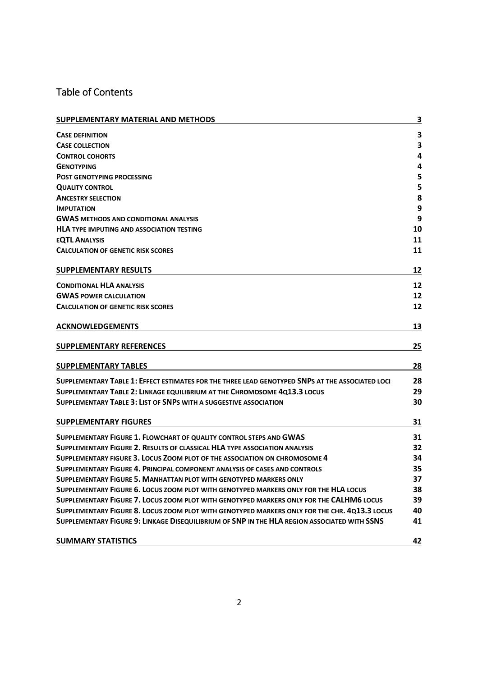## Table of Contents

| SUPPLEMENTARY MATERIAL AND METHODS                                                               | 3  |
|--------------------------------------------------------------------------------------------------|----|
| <b>CASE DEFINITION</b>                                                                           | 3  |
| <b>CASE COLLECTION</b>                                                                           | 3  |
| <b>CONTROL COHORTS</b>                                                                           | 4  |
| <b>GENOTYPING</b>                                                                                | 4  |
| <b>POST GENOTYPING PROCESSING</b>                                                                | 5  |
| <b>QUALITY CONTROL</b>                                                                           | 5  |
| <b>ANCESTRY SELECTION</b>                                                                        | 8  |
| <b>IMPUTATION</b>                                                                                | 9  |
| <b>GWAS METHODS AND CONDITIONAL ANALYSIS</b>                                                     | 9  |
| <b>HLA TYPE IMPUTING AND ASSOCIATION TESTING</b>                                                 | 10 |
| <b>EQTL ANALYSIS</b>                                                                             | 11 |
| <b>CALCULATION OF GENETIC RISK SCORES</b>                                                        | 11 |
| <b>SUPPLEMENTARY RESULTS</b>                                                                     | 12 |
| <b>CONDITIONAL HLA ANALYSIS</b>                                                                  | 12 |
| <b>GWAS POWER CALCULATION</b>                                                                    | 12 |
| <b>CALCULATION OF GENETIC RISK SCORES</b>                                                        | 12 |
| <b>ACKNOWLEDGEMENTS</b>                                                                          | 13 |
| <b>SUPPLEMENTARY REFERENCES</b>                                                                  | 25 |
| <b>SUPPLEMENTARY TABLES</b>                                                                      | 28 |
| SUPPLEMENTARY TABLE 1: EFFECT ESTIMATES FOR THE THREE LEAD GENOTYPED SNPS AT THE ASSOCIATED LOCI | 28 |
| SUPPLEMENTARY TABLE 2: LINKAGE EQUILIBRIUM AT THE CHROMOSOME 4Q13.3 LOCUS                        | 29 |
| SUPPLEMENTARY TABLE 3: LIST OF SNPS WITH A SUGGESTIVE ASSOCIATION                                | 30 |
| <b>SUPPLEMENTARY FIGURES</b>                                                                     | 31 |
| SUPPLEMENTARY FIGURE 1. FLOWCHART OF QUALITY CONTROL STEPS AND GWAS                              | 31 |
| SUPPLEMENTARY FIGURE 2. RESULTS OF CLASSICAL HLA TYPE ASSOCIATION ANALYSIS                       | 32 |
| SUPPLEMENTARY FIGURE 3. LOCUS ZOOM PLOT OF THE ASSOCIATION ON CHROMOSOME 4                       | 34 |
| SUPPLEMENTARY FIGURE 4. PRINCIPAL COMPONENT ANALYSIS OF CASES AND CONTROLS                       | 35 |
| SUPPLEMENTARY FIGURE 5. MANHATTAN PLOT WITH GENOTYPED MARKERS ONLY                               | 37 |
| SUPPLEMENTARY FIGURE 6. LOCUS ZOOM PLOT WITH GENOTYPED MARKERS ONLY FOR THE HLA LOCUS            | 38 |
| SUPPLEMENTARY FIGURE 7. LOCUS ZOOM PLOT WITH GENOTYPED MARKERS ONLY FOR THE CALHM6 LOCUS         | 39 |
| SUPPLEMENTARY FIGURE 8. LOCUS ZOOM PLOT WITH GENOTYPED MARKERS ONLY FOR THE CHR. 4Q13.3 LOCUS    | 40 |
| SUPPLEMENTARY FIGURE 9: LINKAGE DISEQUILIBRIUM OF SNP IN THE HLA REGION ASSOCIATED WITH SSNS     | 41 |
| <b>SUMMARY STATISTICS</b>                                                                        | 42 |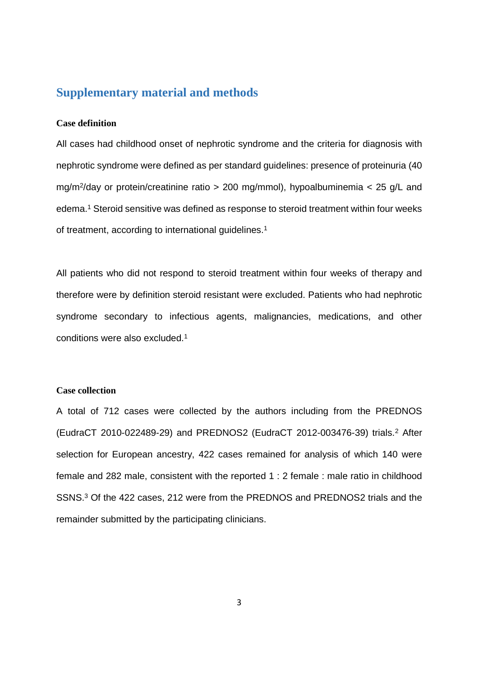## **Supplementary material and methods**

#### **Case definition**

All cases had childhood onset of nephrotic syndrome and the criteria for diagnosis with nephrotic syndrome were defined as per standard guidelines: presence of proteinuria (40 mg/m<sup>2</sup> /day or protein/creatinine ratio > 200 mg/mmol), hypoalbuminemia < 25 g/L and edema.<sup>1</sup> Steroid sensitive was defined as response to steroid treatment within four weeks of treatment, according to international guidelines.<sup>1</sup>

All patients who did not respond to steroid treatment within four weeks of therapy and therefore were by definition steroid resistant were excluded. Patients who had nephrotic syndrome secondary to infectious agents, malignancies, medications, and other conditions were also excluded.<sup>1</sup>

#### **Case collection**

A total of 712 cases were collected by the authors including from the PREDNOS (EudraCT 2010-022489-29) and PREDNOS2 (EudraCT 2012-003476-39) trials.<sup>2</sup> After selection for European ancestry, 422 cases remained for analysis of which 140 were female and 282 male, consistent with the reported 1 : 2 female : male ratio in childhood SSNS.<sup>3</sup> Of the 422 cases, 212 were from the PREDNOS and PREDNOS2 trials and the remainder submitted by the participating clinicians.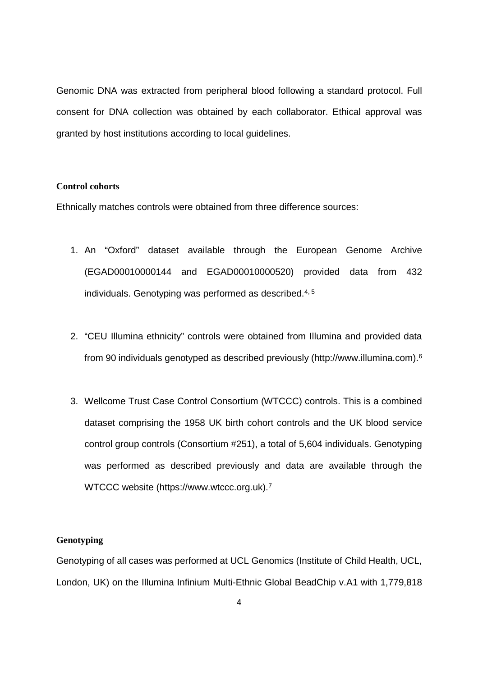Genomic DNA was extracted from peripheral blood following a standard protocol. Full consent for DNA collection was obtained by each collaborator. Ethical approval was granted by host institutions according to local guidelines.

#### **Control cohorts**

Ethnically matches controls were obtained from three difference sources:

- 1. An "Oxford" dataset available through the European Genome Archive (EGAD00010000144 and EGAD00010000520) provided data from 432 individuals. Genotyping was performed as described.4, 5
- 2. "CEU Illumina ethnicity" controls were obtained from Illumina and provided data from 90 individuals genotyped as described previously (http://www.illumina.com).<sup>6</sup>
- 3. Wellcome Trust Case Control Consortium (WTCCC) controls. This is a combined dataset comprising the 1958 UK birth cohort controls and the UK blood service control group controls (Consortium #251), a total of 5,604 individuals. Genotyping was performed as described previously and data are available through the WTCCC website (https://www.wtccc.org.uk).<sup>7</sup>

#### **Genotyping**

Genotyping of all cases was performed at UCL Genomics (Institute of Child Health, UCL, London, UK) on the Illumina Infinium Multi-Ethnic Global BeadChip v.A1 with 1,779,818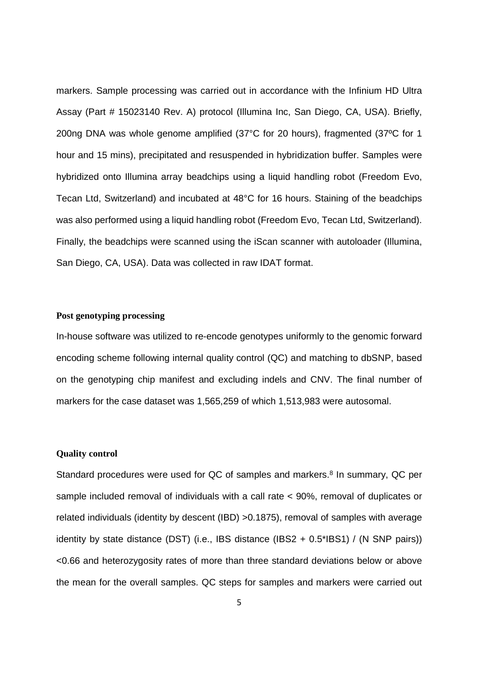markers. Sample processing was carried out in accordance with the Infinium HD Ultra Assay (Part # 15023140 Rev. A) protocol (Illumina Inc, San Diego, CA, USA). Briefly, 200ng DNA was whole genome amplified (37°C for 20 hours), fragmented (37ºC for 1 hour and 15 mins), precipitated and resuspended in hybridization buffer. Samples were hybridized onto Illumina array beadchips using a liquid handling robot (Freedom Evo, Tecan Ltd, Switzerland) and incubated at 48°C for 16 hours. Staining of the beadchips was also performed using a liquid handling robot (Freedom Evo, Tecan Ltd, Switzerland). Finally, the beadchips were scanned using the iScan scanner with autoloader (Illumina, San Diego, CA, USA). Data was collected in raw IDAT format.

#### **Post genotyping processing**

In-house software was utilized to re-encode genotypes uniformly to the genomic forward encoding scheme following internal quality control (QC) and matching to dbSNP, based on the genotyping chip manifest and excluding indels and CNV. The final number of markers for the case dataset was 1,565,259 of which 1,513,983 were autosomal.

#### **Quality control**

Standard procedures were used for QC of samples and markers.<sup>8</sup> In summary, QC per sample included removal of individuals with a call rate < 90%, removal of duplicates or related individuals (identity by descent (IBD) >0.1875), removal of samples with average identity by state distance (DST) (i.e., IBS distance (IBS2 + 0.5\*IBS1) / (N SNP pairs)) <0.66 and heterozygosity rates of more than three standard deviations below or above the mean for the overall samples. QC steps for samples and markers were carried out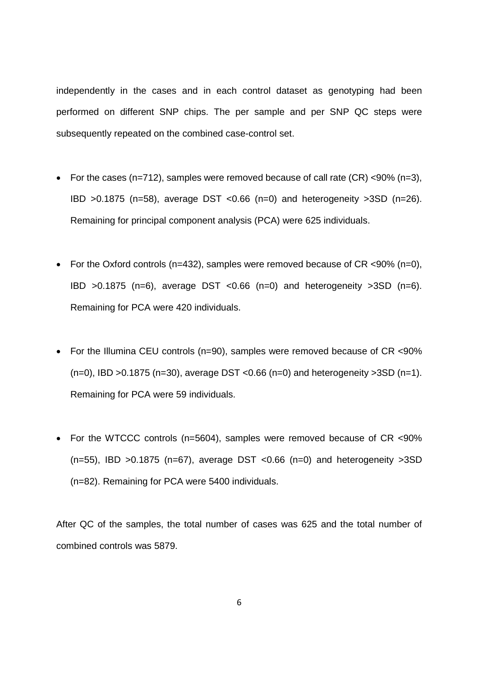independently in the cases and in each control dataset as genotyping had been performed on different SNP chips. The per sample and per SNP QC steps were subsequently repeated on the combined case-control set.

- For the cases (n=712), samples were removed because of call rate (CR) <90% (n=3), IBD  $>0.1875$  (n=58), average DST <0.66 (n=0) and heterogeneity  $>3SD$  (n=26). Remaining for principal component analysis (PCA) were 625 individuals.
- For the Oxford controls (n=432), samples were removed because of CR <90% (n=0), IBD  $>0.1875$  (n=6), average DST <0.66 (n=0) and heterogeneity  $>3SD$  (n=6). Remaining for PCA were 420 individuals.
- For the Illumina CEU controls (n=90), samples were removed because of CR <90% (n=0), IBD >0.1875 (n=30), average DST <0.66 (n=0) and heterogeneity >3SD (n=1). Remaining for PCA were 59 individuals.
- For the WTCCC controls (n=5604), samples were removed because of CR <90% (n=55), IBD  $>0.1875$  (n=67), average DST <0.66 (n=0) and heterogeneity  $>3SD$ (n=82). Remaining for PCA were 5400 individuals.

After QC of the samples, the total number of cases was 625 and the total number of combined controls was 5879.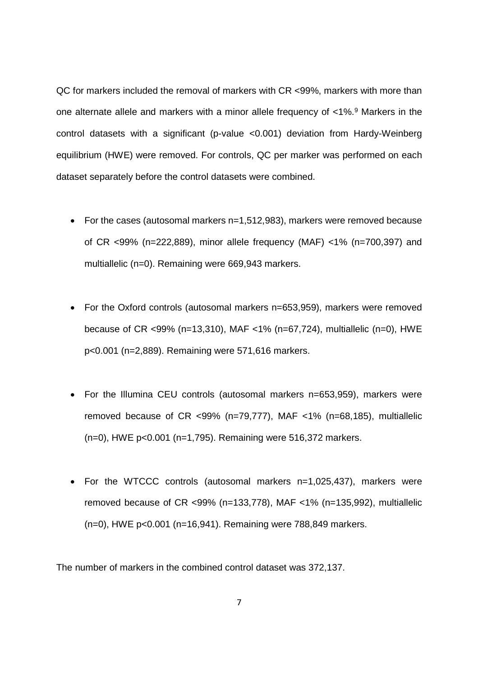QC for markers included the removal of markers with CR <99%, markers with more than one alternate allele and markers with a minor allele frequency of <1%.<sup>9</sup> Markers in the control datasets with a significant (p-value <0.001) deviation from Hardy-Weinberg equilibrium (HWE) were removed. For controls, QC per marker was performed on each dataset separately before the control datasets were combined.

- For the cases (autosomal markers n=1,512,983), markers were removed because of CR <99% (n=222,889), minor allele frequency (MAF) <1% (n=700,397) and multiallelic (n=0). Remaining were 669,943 markers.
- For the Oxford controls (autosomal markers n=653,959), markers were removed because of CR <99% (n=13,310), MAF <1% (n=67,724), multiallelic (n=0), HWE p<0.001 (n=2,889). Remaining were 571,616 markers.
- For the Illumina CEU controls (autosomal markers n=653,959), markers were removed because of CR <99% (n=79,777), MAF <1% (n=68,185), multiallelic (n=0), HWE p<0.001 (n=1,795). Remaining were 516,372 markers.
- For the WTCCC controls (autosomal markers n=1,025,437), markers were removed because of CR <99% (n=133,778), MAF <1% (n=135,992), multiallelic (n=0), HWE p<0.001 (n=16,941). Remaining were 788,849 markers.

The number of markers in the combined control dataset was 372,137.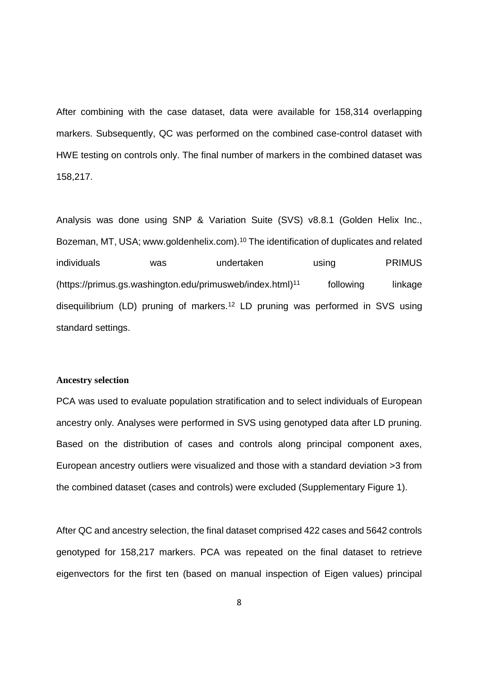After combining with the case dataset, data were available for 158,314 overlapping markers. Subsequently, QC was performed on the combined case-control dataset with HWE testing on controls only. The final number of markers in the combined dataset was 158,217.

Analysis was done using SNP & Variation Suite (SVS) v8.8.1 (Golden Helix Inc., Bozeman, MT, USA; www.goldenhelix.com).<sup>10</sup> The identification of duplicates and related individuals was undertaken using PRIMUS  $(https://primus.gs.washington.edu/primusweb/index.html)<sup>11</sup>$  following linkage disequilibrium (LD) pruning of markers.<sup>12</sup> LD pruning was performed in SVS using standard settings.

#### **Ancestry selection**

PCA was used to evaluate population stratification and to select individuals of European ancestry only. Analyses were performed in SVS using genotyped data after LD pruning. Based on the distribution of cases and controls along principal component axes, European ancestry outliers were visualized and those with a standard deviation >3 from the combined dataset (cases and controls) were excluded (Supplementary Figure 1).

After QC and ancestry selection, the final dataset comprised 422 cases and 5642 controls genotyped for 158,217 markers. PCA was repeated on the final dataset to retrieve eigenvectors for the first ten (based on manual inspection of Eigen values) principal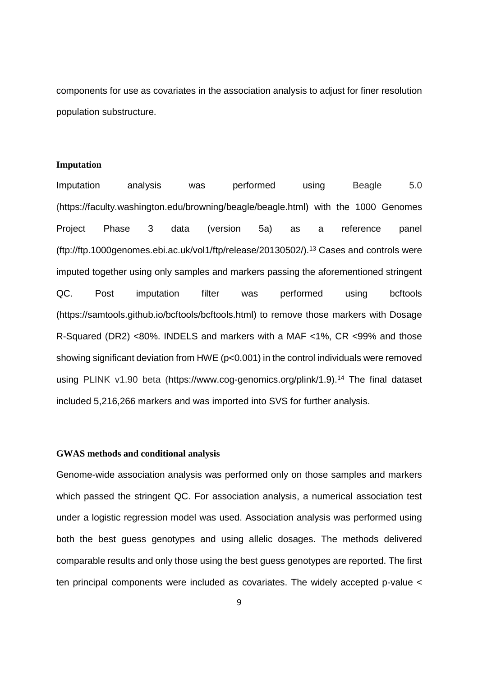components for use as covariates in the association analysis to adjust for finer resolution population substructure.

#### **Imputation**

Imputation analysis was performed using Beagle 5.0 (https://faculty.washington.edu/browning/beagle/beagle.html) with the 1000 Genomes Project Phase 3 data (version 5a) as a reference panel (ftp://ftp.1000genomes.ebi.ac.uk/vol1/ftp/release/20130502/).<sup>13</sup> Cases and controls were imputed together using only samples and markers passing the aforementioned stringent QC. Post imputation filter was performed using bcftools (https://samtools.github.io/bcftools/bcftools.html) to remove those markers with Dosage R-Squared (DR2) <80%. INDELS and markers with a MAF <1%, CR <99% and those showing significant deviation from HWE (p<0.001) in the control individuals were removed using PLINK v1.90 beta (https://www.cog-genomics.org/plink/1.9).<sup>14</sup> The final dataset included 5,216,266 markers and was imported into SVS for further analysis.

#### **GWAS methods and conditional analysis**

Genome-wide association analysis was performed only on those samples and markers which passed the stringent QC. For association analysis, a numerical association test under a logistic regression model was used. Association analysis was performed using both the best guess genotypes and using allelic dosages. The methods delivered comparable results and only those using the best guess genotypes are reported. The first ten principal components were included as covariates. The widely accepted p-value <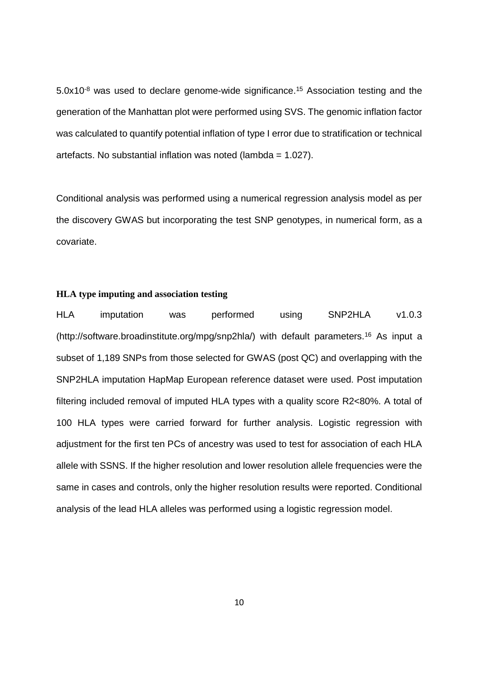$5.0x10^{-8}$  was used to declare genome-wide significance.<sup>15</sup> Association testing and the generation of the Manhattan plot were performed using SVS. The genomic inflation factor was calculated to quantify potential inflation of type I error due to stratification or technical artefacts. No substantial inflation was noted (lambda = 1.027).

Conditional analysis was performed using a numerical regression analysis model as per the discovery GWAS but incorporating the test SNP genotypes, in numerical form, as a covariate.

#### **HLA type imputing and association testing**

HLA imputation was performed using SNP2HLA v1.0.3 (http://software.broadinstitute.org/mpg/snp2hla/) with default parameters.<sup>16</sup> As input a subset of 1,189 SNPs from those selected for GWAS (post QC) and overlapping with the SNP2HLA imputation HapMap European reference dataset were used. Post imputation filtering included removal of imputed HLA types with a quality score R2<80%. A total of 100 HLA types were carried forward for further analysis. Logistic regression with adjustment for the first ten PCs of ancestry was used to test for association of each HLA allele with SSNS. If the higher resolution and lower resolution allele frequencies were the same in cases and controls, only the higher resolution results were reported. Conditional analysis of the lead HLA alleles was performed using a logistic regression model.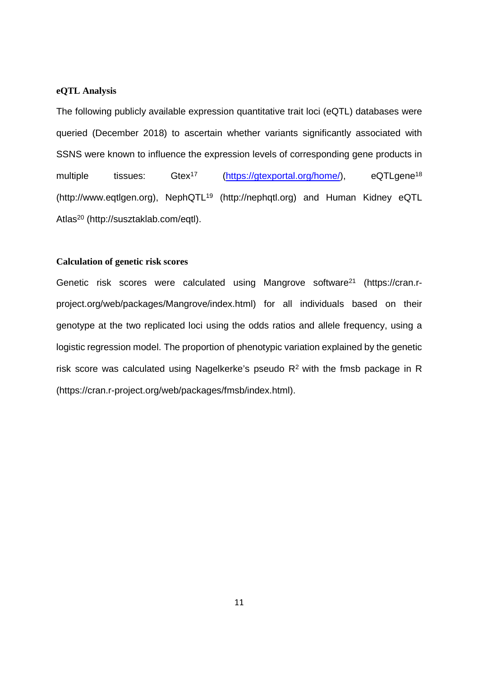#### **eQTL Analysis**

The following publicly available expression quantitative trait loci (eQTL) databases were queried (December 2018) to ascertain whether variants significantly associated with SSNS were known to influence the expression levels of corresponding gene products in multiple tissues: Gtex<sup>17</sup> (https://gtexportal.org/home/), eQTLgene<sup>18</sup> (http://www.eqtlgen.org), NephQTL<sup>19</sup> (http://nephqtl.org) and Human Kidney eQTL Atlas<sup>20</sup> (http://susztaklab.com/eqtl).

#### **Calculation of genetic risk scores**

Genetic risk scores were calculated using Mangrove software<sup>21</sup> (https://cran.rproject.org/web/packages/Mangrove/index.html) for all individuals based on their genotype at the two replicated loci using the odds ratios and allele frequency, using a logistic regression model. The proportion of phenotypic variation explained by the genetic risk score was calculated using Nagelkerke's pseudo  $R<sup>2</sup>$  with the fmsb package in R (https://cran.r-project.org/web/packages/fmsb/index.html).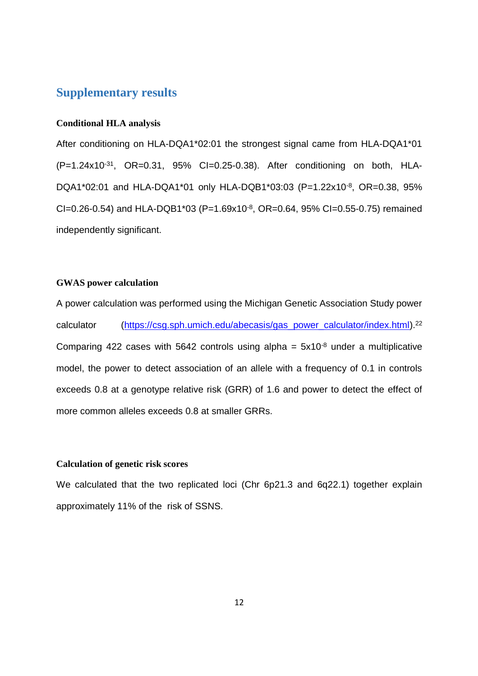## **Supplementary results**

#### **Conditional HLA analysis**

After conditioning on HLA-DQA1\*02:01 the strongest signal came from HLA-DQA1\*01 (P=1.24x10-31, OR=0.31, 95% CI=0.25-0.38). After conditioning on both, HLA-DQA1\*02:01 and HLA-DQA1\*01 only HLA-DQB1\*03:03 (P=1.22x10-8, OR=0.38, 95% CI=0.26-0.54) and HLA-DQB1\*03 (P=1.69x10<sup>-8</sup>, OR=0.64, 95% CI=0.55-0.75) remained independently significant.

#### **GWAS power calculation**

A power calculation was performed using the Michigan Genetic Association Study power calculator (https://csg.sph.umich.edu/abecasis/gas\_power\_calculator/index.html).<sup>22</sup> Comparing 422 cases with 5642 controls using alpha =  $5x10^{-8}$  under a multiplicative model, the power to detect association of an allele with a frequency of 0.1 in controls exceeds 0.8 at a genotype relative risk (GRR) of 1.6 and power to detect the effect of more common alleles exceeds 0.8 at smaller GRRs.

#### **Calculation of genetic risk scores**

We calculated that the two replicated loci (Chr 6p21.3 and 6q22.1) together explain approximately 11% of the risk of SSNS.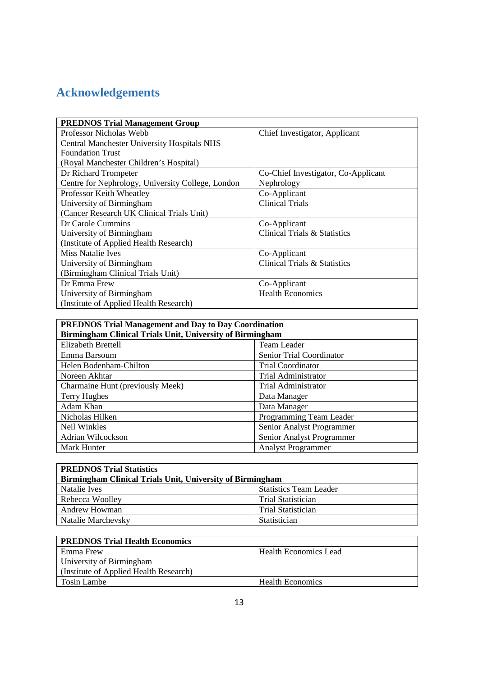## **Acknowledgements**

| <b>PREDNOS Trial Management Group</b>              |                                         |
|----------------------------------------------------|-----------------------------------------|
| Professor Nicholas Webb                            | Chief Investigator, Applicant           |
| <b>Central Manchester University Hospitals NHS</b> |                                         |
| <b>Foundation Trust</b>                            |                                         |
| (Royal Manchester Children's Hospital)             |                                         |
| Dr Richard Trompeter                               | Co-Chief Investigator, Co-Applicant     |
| Centre for Nephrology, University College, London  | Nephrology                              |
| Professor Keith Wheatley                           | Co-Applicant                            |
| University of Birmingham                           | <b>Clinical Trials</b>                  |
| (Cancer Research UK Clinical Trials Unit)          |                                         |
| Dr Carole Cummins                                  | Co-Applicant                            |
| University of Birmingham                           | <b>Clinical Trials &amp; Statistics</b> |
| (Institute of Applied Health Research)             |                                         |
| <b>Miss Natalie Ives</b>                           | Co-Applicant                            |
| University of Birmingham                           | <b>Clinical Trials &amp; Statistics</b> |
| (Birmingham Clinical Trials Unit)                  |                                         |
| Dr Emma Frew                                       | Co-Applicant                            |
| University of Birmingham                           | <b>Health Economics</b>                 |
| (Institute of Applied Health Research)             |                                         |

| <b>PREDNOS Trial Management and Day to Day Coordination</b> |                            |  |
|-------------------------------------------------------------|----------------------------|--|
| Birmingham Clinical Trials Unit, University of Birmingham   |                            |  |
| Elizabeth Brettell                                          | Team Leader                |  |
| Emma Barsoum                                                | Senior Trial Coordinator   |  |
| Helen Bodenham-Chilton                                      | <b>Trial Coordinator</b>   |  |
| Noreen Akhtar                                               | <b>Trial Administrator</b> |  |
| Charmaine Hunt (previously Meek)                            | Trial Administrator        |  |
| <b>Terry Hughes</b>                                         | Data Manager               |  |
| Adam Khan                                                   | Data Manager               |  |
| Nicholas Hilken                                             | Programming Team Leader    |  |
| Neil Winkles                                                | Senior Analyst Programmer  |  |
| Adrian Wilcockson                                           | Senior Analyst Programmer  |  |
| Mark Hunter                                                 | <b>Analyst Programmer</b>  |  |

| <b>PREDNOS Trial Statistics</b>                           |                               |
|-----------------------------------------------------------|-------------------------------|
| Birmingham Clinical Trials Unit, University of Birmingham |                               |
| Natalie Ives                                              | <b>Statistics Team Leader</b> |
| Rebecca Woolley                                           | Trial Statistician            |
| <b>Andrew Howman</b>                                      | <b>Trial Statistician</b>     |
| Natalie Marchevsky                                        | Statistician                  |

| <b>PREDNOS Trial Health Economics</b>  |                              |
|----------------------------------------|------------------------------|
| Emma Frew                              | <b>Health Economics Lead</b> |
| University of Birmingham               |                              |
| (Institute of Applied Health Research) |                              |
| <b>Tosin Lambe</b>                     | <b>Health Economics</b>      |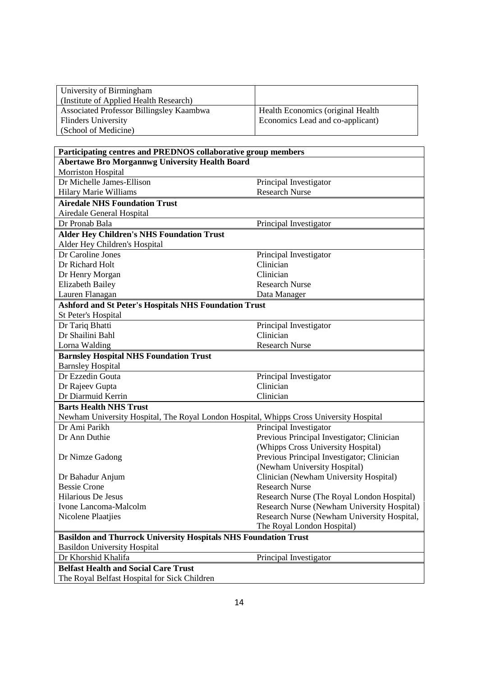| University of Birmingham                 |                                    |
|------------------------------------------|------------------------------------|
| (Institute of Applied Health Research)   |                                    |
| Associated Professor Billingsley Kaambwa | Health Economics (original Health) |
| <b>Flinders University</b>               | Economics Lead and co-applicant)   |
| (School of Medicine)                     |                                    |

| Participating centres and PREDNOS collaborative group members                           |                                             |  |
|-----------------------------------------------------------------------------------------|---------------------------------------------|--|
| <b>Abertawe Bro Morgannwg University Health Board</b>                                   |                                             |  |
| <b>Morriston Hospital</b>                                                               |                                             |  |
| Dr Michelle James-Ellison                                                               | Principal Investigator                      |  |
| <b>Hilary Marie Williams</b>                                                            | <b>Research Nurse</b>                       |  |
| <b>Airedale NHS Foundation Trust</b>                                                    |                                             |  |
| Airedale General Hospital                                                               |                                             |  |
| Dr Pronab Bala                                                                          | Principal Investigator                      |  |
| <b>Alder Hey Children's NHS Foundation Trust</b>                                        |                                             |  |
| Alder Hey Children's Hospital                                                           |                                             |  |
| Dr Caroline Jones                                                                       | Principal Investigator                      |  |
| Dr Richard Holt                                                                         | Clinician                                   |  |
| Dr Henry Morgan                                                                         | Clinician                                   |  |
| <b>Elizabeth Bailey</b>                                                                 | <b>Research Nurse</b>                       |  |
| Lauren Flanagan                                                                         | Data Manager                                |  |
| <b>Ashford and St Peter's Hospitals NHS Foundation Trust</b>                            |                                             |  |
| <b>St Peter's Hospital</b>                                                              |                                             |  |
| Dr Tariq Bhatti                                                                         | Principal Investigator                      |  |
| Dr Shailini Bahl                                                                        | Clinician                                   |  |
| Lorna Walding                                                                           | <b>Research Nurse</b>                       |  |
| <b>Barnsley Hospital NHS Foundation Trust</b>                                           |                                             |  |
| <b>Barnsley Hospital</b>                                                                |                                             |  |
| Dr Ezzedin Gouta                                                                        | Principal Investigator                      |  |
| Dr Rajeev Gupta                                                                         | Clinician                                   |  |
| Dr Diarmuid Kerrin                                                                      | Clinician                                   |  |
| <b>Barts Health NHS Trust</b>                                                           |                                             |  |
| Newham University Hospital, The Royal London Hospital, Whipps Cross University Hospital |                                             |  |
| Dr Ami Parikh                                                                           | Principal Investigator                      |  |
| Dr Ann Duthie                                                                           | Previous Principal Investigator; Clinician  |  |
|                                                                                         | (Whipps Cross University Hospital)          |  |
| Dr Nimze Gadong                                                                         | Previous Principal Investigator; Clinician  |  |
|                                                                                         | (Newham University Hospital)                |  |
| Dr Bahadur Anjum                                                                        | Clinician (Newham University Hospital)      |  |
| <b>Bessie Crone</b>                                                                     | <b>Research Nurse</b>                       |  |
| Hilarious De Jesus                                                                      | Research Nurse (The Royal London Hospital)  |  |
| Ivone Lancoma-Malcolm                                                                   | Research Nurse (Newham University Hospital) |  |
| Nicolene Plaatjies                                                                      | Research Nurse (Newham University Hospital, |  |
|                                                                                         | The Royal London Hospital)                  |  |
| <b>Basildon and Thurrock University Hospitals NHS Foundation Trust</b>                  |                                             |  |
| <b>Basildon University Hospital</b>                                                     |                                             |  |
| Dr Khorshid Khalifa                                                                     | Principal Investigator                      |  |
| <b>Belfast Health and Social Care Trust</b>                                             |                                             |  |
| The Royal Belfast Hospital for Sick Children                                            |                                             |  |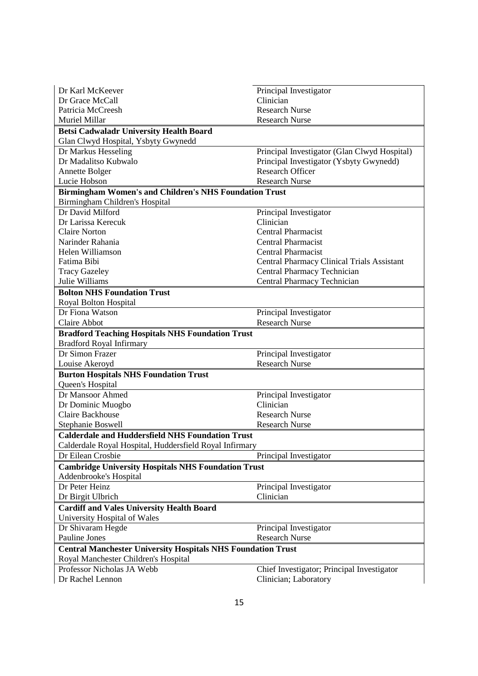| Dr Karl McKeever                                                    | Principal Investigator                                                           |
|---------------------------------------------------------------------|----------------------------------------------------------------------------------|
| Dr Grace McCall                                                     | Clinician                                                                        |
| Patricia McCreesh                                                   | <b>Research Nurse</b>                                                            |
| Muriel Millar                                                       | <b>Research Nurse</b>                                                            |
| <b>Betsi Cadwaladr University Health Board</b>                      |                                                                                  |
| Glan Clwyd Hospital, Ysbyty Gwynedd                                 |                                                                                  |
| Dr Markus Hesseling                                                 | Principal Investigator (Glan Clwyd Hospital)                                     |
| Dr Madalitso Kubwalo                                                | Principal Investigator (Ysbyty Gwynedd)                                          |
| <b>Annette Bolger</b>                                               | <b>Research Officer</b>                                                          |
| Lucie Hobson                                                        | <b>Research Nurse</b>                                                            |
| <b>Birmingham Women's and Children's NHS Foundation Trust</b>       |                                                                                  |
| Birmingham Children's Hospital                                      |                                                                                  |
| Dr David Milford                                                    | Principal Investigator                                                           |
| Dr Larissa Kerecuk                                                  | Clinician                                                                        |
| <b>Claire Norton</b>                                                | <b>Central Pharmacist</b>                                                        |
| Narinder Rahania<br>Helen Williamson                                | <b>Central Pharmacist</b>                                                        |
|                                                                     | <b>Central Pharmacist</b>                                                        |
| Fatima Bibi                                                         | <b>Central Pharmacy Clinical Trials Assistant</b><br>Central Pharmacy Technician |
| <b>Tracy Gazeley</b><br>Julie Williams                              | Central Pharmacy Technician                                                      |
| <b>Bolton NHS Foundation Trust</b>                                  |                                                                                  |
| Royal Bolton Hospital                                               |                                                                                  |
| Dr Fiona Watson                                                     | Principal Investigator                                                           |
| <b>Claire Abbot</b>                                                 | <b>Research Nurse</b>                                                            |
| <b>Bradford Teaching Hospitals NHS Foundation Trust</b>             |                                                                                  |
| <b>Bradford Royal Infirmary</b>                                     |                                                                                  |
| Dr Simon Frazer                                                     | Principal Investigator                                                           |
| Louise Akeroyd                                                      | <b>Research Nurse</b>                                                            |
| <b>Burton Hospitals NHS Foundation Trust</b>                        |                                                                                  |
| Queen's Hospital                                                    |                                                                                  |
| Dr Mansoor Ahmed                                                    | Principal Investigator                                                           |
| Dr Dominic Muogbo                                                   | Clinician                                                                        |
| Claire Backhouse                                                    | <b>Research Nurse</b>                                                            |
| Stephanie Boswell                                                   | <b>Research Nurse</b>                                                            |
| <b>Calderdale and Huddersfield NHS Foundation Trust</b>             |                                                                                  |
| Calderdale Royal Hospital, Huddersfield Royal Infirmary             |                                                                                  |
| Dr Eilean Crosbie                                                   | Principal Investigator                                                           |
| <b>Cambridge University Hospitals NHS Foundation Trust</b>          |                                                                                  |
| Addenbrooke's Hospital                                              |                                                                                  |
| Dr Peter Heinz                                                      | Principal Investigator                                                           |
| Dr Birgit Ulbrich                                                   | Clinician                                                                        |
| <b>Cardiff and Vales University Health Board</b>                    |                                                                                  |
| University Hospital of Wales                                        |                                                                                  |
| Dr Shivaram Hegde                                                   | Principal Investigator                                                           |
| Pauline Jones                                                       | <b>Research Nurse</b>                                                            |
| <b>Central Manchester University Hospitals NHS Foundation Trust</b> |                                                                                  |
| Royal Manchester Children's Hospital                                |                                                                                  |
| Professor Nicholas JA Webb                                          | Chief Investigator; Principal Investigator                                       |
| Dr Rachel Lennon                                                    | Clinician; Laboratory                                                            |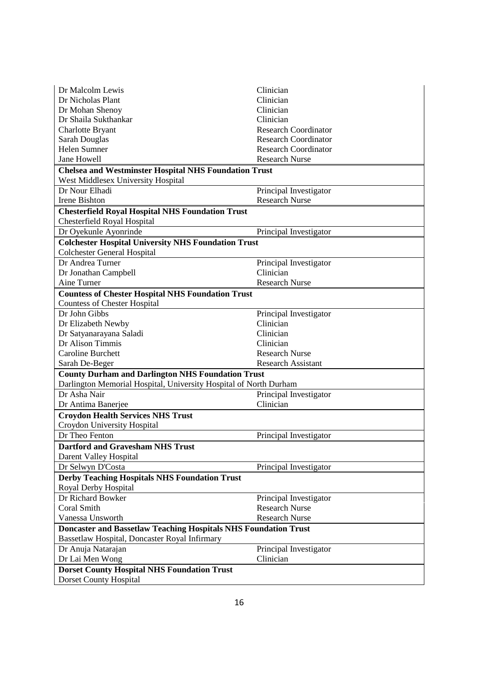| Dr Malcolm Lewis                                                       | Clinician                   |
|------------------------------------------------------------------------|-----------------------------|
| Dr Nicholas Plant                                                      | Clinician                   |
| Dr Mohan Shenoy                                                        | Clinician                   |
| Dr Shaila Sukthankar                                                   | Clinician                   |
| <b>Charlotte Bryant</b>                                                | <b>Research Coordinator</b> |
| Sarah Douglas                                                          | <b>Research Coordinator</b> |
| Helen Sumner                                                           | <b>Research Coordinator</b> |
| Jane Howell                                                            | <b>Research Nurse</b>       |
| <b>Chelsea and Westminster Hospital NHS Foundation Trust</b>           |                             |
| West Middlesex University Hospital                                     |                             |
| Dr Nour Elhadi                                                         | Principal Investigator      |
| <b>Irene Bishton</b>                                                   | <b>Research Nurse</b>       |
| <b>Chesterfield Royal Hospital NHS Foundation Trust</b>                |                             |
| <b>Chesterfield Royal Hospital</b>                                     |                             |
| Dr Oyekunle Ayonrinde                                                  | Principal Investigator      |
| <b>Colchester Hospital University NHS Foundation Trust</b>             |                             |
| <b>Colchester General Hospital</b>                                     |                             |
| Dr Andrea Turner                                                       | Principal Investigator      |
| Dr Jonathan Campbell                                                   | Clinician                   |
| Aine Turner                                                            | <b>Research Nurse</b>       |
| <b>Countess of Chester Hospital NHS Foundation Trust</b>               |                             |
| <b>Countess of Chester Hospital</b>                                    |                             |
| Dr John Gibbs                                                          | Principal Investigator      |
| Dr Elizabeth Newby                                                     | Clinician                   |
| Dr Satyanarayana Saladi                                                | Clinician                   |
| Dr Alison Timmis                                                       | Clinician                   |
| <b>Caroline Burchett</b>                                               | <b>Research Nurse</b>       |
| Sarah De-Beger                                                         | <b>Research Assistant</b>   |
| <b>County Durham and Darlington NHS Foundation Trust</b>               |                             |
| Darlington Memorial Hospital, University Hospital of North Durham      |                             |
| Dr Asha Nair                                                           | Principal Investigator      |
| Dr Antima Banerjee                                                     | Clinician                   |
| <b>Croydon Health Services NHS Trust</b>                               |                             |
| Croydon University Hospital                                            |                             |
| Dr Theo Fenton                                                         | Principal Investigator      |
| <b>Dartford and Gravesham NHS Trust</b>                                |                             |
| Darent Valley Hospital                                                 |                             |
| Dr Selwyn D'Costa                                                      | Principal Investigator      |
| <b>Derby Teaching Hospitals NHS Foundation Trust</b>                   |                             |
| Royal Derby Hospital                                                   |                             |
| Dr Richard Bowker                                                      | Principal Investigator      |
| Coral Smith                                                            | <b>Research Nurse</b>       |
| Vanessa Unsworth                                                       | <b>Research Nurse</b>       |
| <b>Doncaster and Bassetlaw Teaching Hospitals NHS Foundation Trust</b> |                             |
| Bassetlaw Hospital, Doncaster Royal Infirmary                          |                             |
| Dr Anuja Natarajan                                                     | Principal Investigator      |
| Dr Lai Men Wong                                                        | Clinician                   |
| <b>Dorset County Hospital NHS Foundation Trust</b>                     |                             |
| Dorset County Hospital                                                 |                             |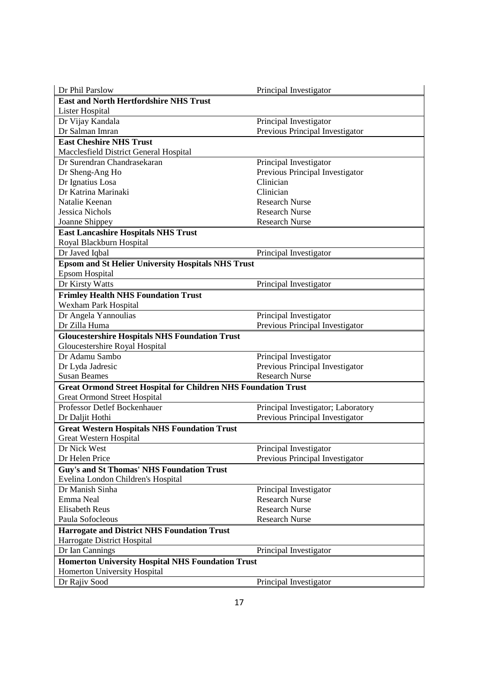| Dr Phil Parslow                                                       | Principal Investigator             |
|-----------------------------------------------------------------------|------------------------------------|
| <b>East and North Hertfordshire NHS Trust</b>                         |                                    |
| <b>Lister Hospital</b>                                                |                                    |
| Dr Vijay Kandala                                                      | Principal Investigator             |
| Dr Salman Imran                                                       | Previous Principal Investigator    |
| <b>East Cheshire NHS Trust</b>                                        |                                    |
| Macclesfield District General Hospital                                |                                    |
| Dr Surendran Chandrasekaran                                           | Principal Investigator             |
| Dr Sheng-Ang Ho                                                       | Previous Principal Investigator    |
| Dr Ignatius Losa                                                      | Clinician                          |
| Dr Katrina Marinaki                                                   | Clinician                          |
| Natalie Keenan                                                        | <b>Research Nurse</b>              |
| <b>Jessica Nichols</b>                                                | <b>Research Nurse</b>              |
| Joanne Shippey                                                        | <b>Research Nurse</b>              |
| <b>East Lancashire Hospitals NHS Trust</b>                            |                                    |
| Royal Blackburn Hospital                                              |                                    |
| Dr Javed Iqbal                                                        | Principal Investigator             |
| <b>Epsom and St Helier University Hospitals NHS Trust</b>             |                                    |
| <b>Epsom Hospital</b>                                                 |                                    |
| Dr Kirsty Watts                                                       | Principal Investigator             |
| <b>Frimley Health NHS Foundation Trust</b>                            |                                    |
| Wexham Park Hospital                                                  |                                    |
| Dr Angela Yannoulias                                                  | Principal Investigator             |
| Dr Zilla Huma                                                         | Previous Principal Investigator    |
| <b>Gloucestershire Hospitals NHS Foundation Trust</b>                 |                                    |
| Gloucestershire Royal Hospital                                        |                                    |
| Dr Adamu Sambo                                                        | Principal Investigator             |
| Dr Lyda Jadresic                                                      | Previous Principal Investigator    |
| <b>Susan Beames</b>                                                   | <b>Research Nurse</b>              |
| <b>Great Ormond Street Hospital for Children NHS Foundation Trust</b> |                                    |
| <b>Great Ormond Street Hospital</b>                                   |                                    |
| Professor Detlef Bockenhauer                                          | Principal Investigator; Laboratory |
| Dr Daljit Hothi                                                       | Previous Principal Investigator    |
| <b>Great Western Hospitals NHS Foundation Trust</b>                   |                                    |
| <b>Great Western Hospital</b>                                         |                                    |
| Dr Nick West                                                          | Principal Investigator             |
| Dr Helen Price                                                        | Previous Principal Investigator    |
| <b>Guy's and St Thomas' NHS Foundation Trust</b>                      |                                    |
| Evelina London Children's Hospital                                    |                                    |
| Dr Manish Sinha                                                       | Principal Investigator             |
| Emma Neal                                                             | <b>Research Nurse</b>              |
| <b>Elisabeth Reus</b>                                                 | <b>Research Nurse</b>              |
| Paula Sofocleous                                                      | <b>Research Nurse</b>              |
| <b>Harrogate and District NHS Foundation Trust</b>                    |                                    |
| Harrogate District Hospital                                           |                                    |
| Dr Ian Cannings                                                       | Principal Investigator             |
| <b>Homerton University Hospital NHS Foundation Trust</b>              |                                    |
| Homerton University Hospital                                          |                                    |
| Dr Rajiv Sood                                                         | Principal Investigator             |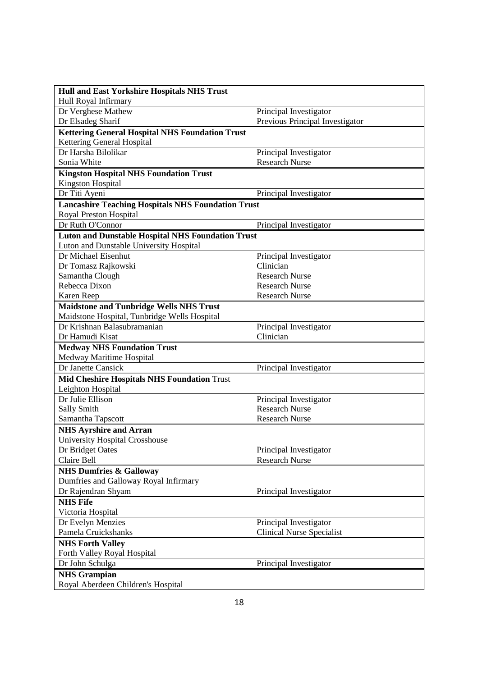| Hull and East Yorkshire Hospitals NHS Trust               |                                  |
|-----------------------------------------------------------|----------------------------------|
| Hull Royal Infirmary                                      |                                  |
| Dr Verghese Mathew                                        | Principal Investigator           |
| Dr Elsadeg Sharif                                         | Previous Principal Investigator  |
| <b>Kettering General Hospital NHS Foundation Trust</b>    |                                  |
| Kettering General Hospital                                |                                  |
| Dr Harsha Bilolikar                                       | Principal Investigator           |
| Sonia White                                               | <b>Research Nurse</b>            |
| <b>Kingston Hospital NHS Foundation Trust</b>             |                                  |
| Kingston Hospital                                         |                                  |
| Dr Titi Ayeni                                             | Principal Investigator           |
| <b>Lancashire Teaching Hospitals NHS Foundation Trust</b> |                                  |
| Royal Preston Hospital                                    |                                  |
| Dr Ruth O'Connor                                          | Principal Investigator           |
| <b>Luton and Dunstable Hospital NHS Foundation Trust</b>  |                                  |
| Luton and Dunstable University Hospital                   |                                  |
| Dr Michael Eisenhut                                       | Principal Investigator           |
| Dr Tomasz Rajkowski                                       | Clinician                        |
| Samantha Clough                                           | <b>Research Nurse</b>            |
| Rebecca Dixon                                             | <b>Research Nurse</b>            |
| Karen Reep                                                | <b>Research Nurse</b>            |
| <b>Maidstone and Tunbridge Wells NHS Trust</b>            |                                  |
| Maidstone Hospital, Tunbridge Wells Hospital              |                                  |
| Dr Krishnan Balasubramanian                               | Principal Investigator           |
| Dr Hamudi Kisat                                           | Clinician                        |
| <b>Medway NHS Foundation Trust</b>                        |                                  |
| Medway Maritime Hospital                                  |                                  |
| Dr Janette Cansick                                        | Principal Investigator           |
| <b>Mid Cheshire Hospitals NHS Foundation Trust</b>        |                                  |
| Leighton Hospital                                         |                                  |
| Dr Julie Ellison                                          | Principal Investigator           |
| Sally Smith                                               | <b>Research Nurse</b>            |
| Samantha Tapscott                                         | <b>Research Nurse</b>            |
| <b>NHS Ayrshire and Arran</b>                             |                                  |
| <b>University Hospital Crosshouse</b>                     |                                  |
| Dr Bridget Oates                                          | Principal Investigator           |
| Claire Bell                                               | <b>Research Nurse</b>            |
| <b>NHS Dumfries &amp; Galloway</b>                        |                                  |
| Dumfries and Galloway Royal Infirmary                     |                                  |
| Dr Rajendran Shyam                                        | Principal Investigator           |
| <b>NHS Fife</b>                                           |                                  |
| Victoria Hospital                                         |                                  |
| Dr Evelyn Menzies                                         | Principal Investigator           |
| Pamela Cruickshanks                                       | <b>Clinical Nurse Specialist</b> |
| <b>NHS Forth Valley</b>                                   |                                  |
| Forth Valley Royal Hospital                               |                                  |
| Dr John Schulga                                           | Principal Investigator           |
| <b>NHS Grampian</b>                                       |                                  |
| Royal Aberdeen Children's Hospital                        |                                  |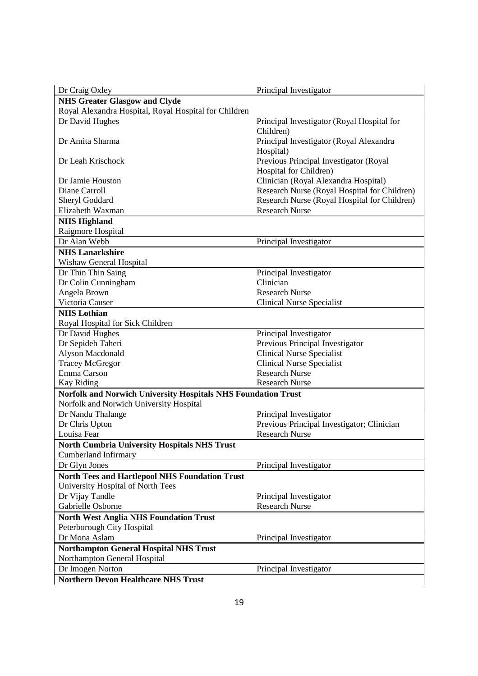| Dr Craig Oxley                                                | Principal Investigator                       |
|---------------------------------------------------------------|----------------------------------------------|
| <b>NHS Greater Glasgow and Clyde</b>                          |                                              |
| Royal Alexandra Hospital, Royal Hospital for Children         |                                              |
| Dr David Hughes                                               | Principal Investigator (Royal Hospital for   |
|                                                               | Children)                                    |
| Dr Amita Sharma                                               | Principal Investigator (Royal Alexandra      |
|                                                               | Hospital)                                    |
| Dr Leah Krischock                                             | Previous Principal Investigator (Royal       |
|                                                               | Hospital for Children)                       |
| Dr Jamie Houston                                              | Clinician (Royal Alexandra Hospital)         |
| Diane Carroll                                                 | Research Nurse (Royal Hospital for Children) |
| Sheryl Goddard                                                | Research Nurse (Royal Hospital for Children) |
| Elizabeth Waxman                                              | <b>Research Nurse</b>                        |
| <b>NHS Highland</b>                                           |                                              |
| Raigmore Hospital                                             |                                              |
| Dr Alan Webb                                                  | Principal Investigator                       |
| <b>NHS Lanarkshire</b>                                        |                                              |
| Wishaw General Hospital                                       |                                              |
| Dr Thin Thin Saing                                            | Principal Investigator                       |
| Dr Colin Cunningham                                           | Clinician                                    |
| Angela Brown                                                  | <b>Research Nurse</b>                        |
| Victoria Causer                                               | <b>Clinical Nurse Specialist</b>             |
| <b>NHS Lothian</b>                                            |                                              |
| Royal Hospital for Sick Children                              |                                              |
| Dr David Hughes                                               | Principal Investigator                       |
| Dr Sepideh Taheri                                             | Previous Principal Investigator              |
| Alyson Macdonald                                              | <b>Clinical Nurse Specialist</b>             |
| <b>Tracey McGregor</b>                                        | <b>Clinical Nurse Specialist</b>             |
| Emma Carson                                                   | <b>Research Nurse</b>                        |
| <b>Kay Riding</b>                                             | <b>Research Nurse</b>                        |
| Norfolk and Norwich University Hospitals NHS Foundation Trust |                                              |
| Norfolk and Norwich University Hospital                       |                                              |
| Dr Nandu Thalange                                             | Principal Investigator                       |
| Dr Chris Upton                                                | Previous Principal Investigator; Clinician   |
| Louisa Fear                                                   | <b>Research Nurse</b>                        |
| North Cumbria University Hospitals NHS Trust                  |                                              |
| Cumberland Infirmary                                          |                                              |
| Dr Glyn Jones                                                 | Principal Investigator                       |
| <b>North Tees and Hartlepool NHS Foundation Trust</b>         |                                              |
| University Hospital of North Tees                             |                                              |
| Dr Vijay Tandle                                               | Principal Investigator                       |
| Gabrielle Osborne                                             | <b>Research Nurse</b>                        |
| <b>North West Anglia NHS Foundation Trust</b>                 |                                              |
| Peterborough City Hospital                                    |                                              |
| Dr Mona Aslam                                                 | Principal Investigator                       |
| <b>Northampton General Hospital NHS Trust</b>                 |                                              |
| Northampton General Hospital                                  |                                              |
| Dr Imogen Norton                                              | Principal Investigator                       |
| <b>Northern Devon Healthcare NHS Trust</b>                    |                                              |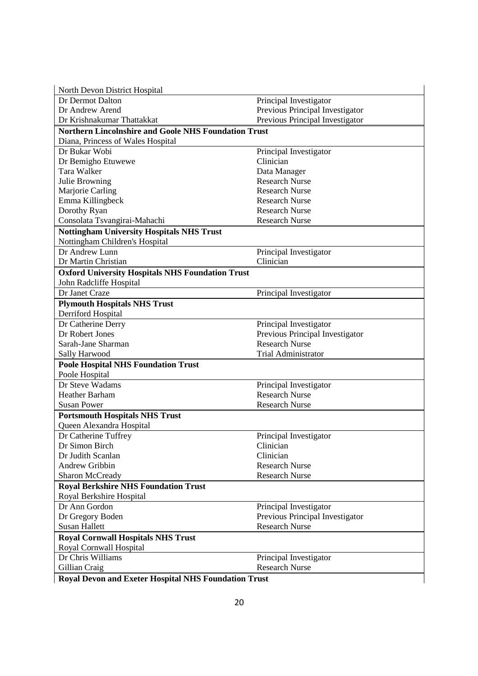| North Devon District Hospital                               |                                                           |  |  |  |
|-------------------------------------------------------------|-----------------------------------------------------------|--|--|--|
| Dr Dermot Dalton                                            | Principal Investigator                                    |  |  |  |
| Dr Andrew Arend                                             | Previous Principal Investigator                           |  |  |  |
| Dr Krishnakumar Thattakkat                                  | Previous Principal Investigator                           |  |  |  |
| <b>Northern Lincolnshire and Goole NHS Foundation Trust</b> |                                                           |  |  |  |
| Diana, Princess of Wales Hospital                           |                                                           |  |  |  |
| Dr Bukar Wobi                                               | Principal Investigator                                    |  |  |  |
| Dr Bemigho Etuwewe                                          | Clinician                                                 |  |  |  |
| Tara Walker                                                 | Data Manager                                              |  |  |  |
| Julie Browning                                              | <b>Research Nurse</b>                                     |  |  |  |
| Marjorie Carling                                            | <b>Research Nurse</b>                                     |  |  |  |
| Emma Killingbeck                                            | <b>Research Nurse</b>                                     |  |  |  |
| Dorothy Ryan                                                | <b>Research Nurse</b>                                     |  |  |  |
| Consolata Tsvangirai-Mahachi                                | <b>Research Nurse</b>                                     |  |  |  |
| <b>Nottingham University Hospitals NHS Trust</b>            |                                                           |  |  |  |
| Nottingham Children's Hospital<br>Dr Andrew Lunn            |                                                           |  |  |  |
|                                                             | Principal Investigator                                    |  |  |  |
| Dr Martin Christian                                         | Clinician                                                 |  |  |  |
| <b>Oxford University Hospitals NHS Foundation Trust</b>     |                                                           |  |  |  |
| John Radcliffe Hospital<br>Dr Janet Craze                   |                                                           |  |  |  |
|                                                             | Principal Investigator                                    |  |  |  |
| <b>Plymouth Hospitals NHS Trust</b>                         |                                                           |  |  |  |
| Derriford Hospital                                          |                                                           |  |  |  |
| Dr Catherine Derry<br>Dr Robert Jones                       | Principal Investigator<br>Previous Principal Investigator |  |  |  |
| Sarah-Jane Sharman                                          | <b>Research Nurse</b>                                     |  |  |  |
| Sally Harwood                                               | <b>Trial Administrator</b>                                |  |  |  |
| <b>Poole Hospital NHS Foundation Trust</b>                  |                                                           |  |  |  |
| Poole Hospital                                              |                                                           |  |  |  |
| Dr Steve Wadams                                             | Principal Investigator                                    |  |  |  |
| Heather Barham                                              | <b>Research Nurse</b>                                     |  |  |  |
| <b>Susan Power</b>                                          | <b>Research Nurse</b>                                     |  |  |  |
| <b>Portsmouth Hospitals NHS Trust</b>                       |                                                           |  |  |  |
| Queen Alexandra Hospital                                    |                                                           |  |  |  |
| Dr Catherine Tuffrey                                        | Principal Investigator                                    |  |  |  |
| Dr Simon Birch                                              | Clinician                                                 |  |  |  |
| Dr Judith Scanlan                                           | Clinician                                                 |  |  |  |
| Andrew Gribbin                                              | <b>Research Nurse</b>                                     |  |  |  |
| Sharon McCready                                             | <b>Research Nurse</b>                                     |  |  |  |
| <b>Royal Berkshire NHS Foundation Trust</b>                 |                                                           |  |  |  |
| Royal Berkshire Hospital                                    |                                                           |  |  |  |
| Dr Ann Gordon                                               | Principal Investigator                                    |  |  |  |
| Dr Gregory Boden                                            | Previous Principal Investigator                           |  |  |  |
| Susan Hallett                                               | <b>Research Nurse</b>                                     |  |  |  |
| <b>Royal Cornwall Hospitals NHS Trust</b>                   |                                                           |  |  |  |
| Royal Cornwall Hospital                                     |                                                           |  |  |  |
| Dr Chris Williams                                           | Principal Investigator                                    |  |  |  |
| Gillian Craig                                               | <b>Research Nurse</b>                                     |  |  |  |
| <b>Royal Devon and Exeter Hospital NHS Foundation Trust</b> |                                                           |  |  |  |

**Royal Devon and Exeter Hospital NHS Foundation Trust**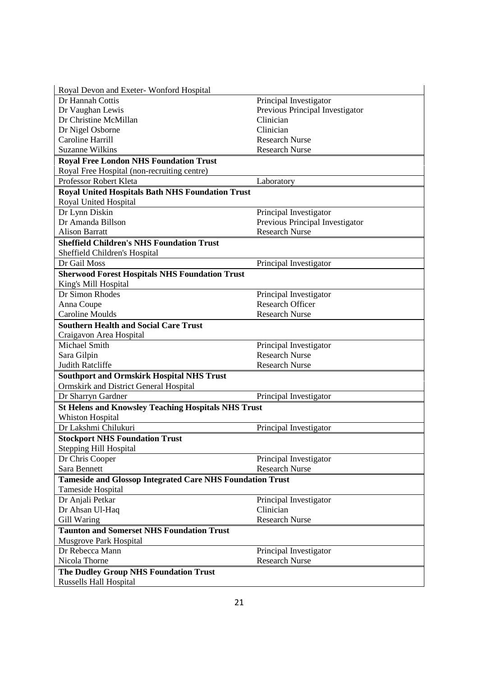| Royal Devon and Exeter-Wonford Hospital                          |                                 |  |  |
|------------------------------------------------------------------|---------------------------------|--|--|
| Dr Hannah Cottis                                                 | Principal Investigator          |  |  |
| Dr Vaughan Lewis                                                 | Previous Principal Investigator |  |  |
| Dr Christine McMillan                                            | Clinician                       |  |  |
| Dr Nigel Osborne                                                 | Clinician                       |  |  |
| Caroline Harrill                                                 | <b>Research Nurse</b>           |  |  |
| <b>Suzanne Wilkins</b>                                           | <b>Research Nurse</b>           |  |  |
| <b>Royal Free London NHS Foundation Trust</b>                    |                                 |  |  |
| Royal Free Hospital (non-recruiting centre)                      |                                 |  |  |
| Professor Robert Kleta                                           | Laboratory                      |  |  |
| <b>Royal United Hospitals Bath NHS Foundation Trust</b>          |                                 |  |  |
| Royal United Hospital                                            |                                 |  |  |
| Dr Lynn Diskin                                                   | Principal Investigator          |  |  |
| Dr Amanda Billson                                                | Previous Principal Investigator |  |  |
| <b>Alison Barratt</b>                                            | <b>Research Nurse</b>           |  |  |
| <b>Sheffield Children's NHS Foundation Trust</b>                 |                                 |  |  |
| Sheffield Children's Hospital                                    |                                 |  |  |
| Dr Gail Moss                                                     | Principal Investigator          |  |  |
| <b>Sherwood Forest Hospitals NHS Foundation Trust</b>            |                                 |  |  |
| King's Mill Hospital                                             |                                 |  |  |
| Dr Simon Rhodes                                                  | Principal Investigator          |  |  |
| Anna Coupe                                                       | <b>Research Officer</b>         |  |  |
| <b>Caroline Moulds</b>                                           | <b>Research Nurse</b>           |  |  |
| <b>Southern Health and Social Care Trust</b>                     |                                 |  |  |
| Craigavon Area Hospital                                          |                                 |  |  |
| Michael Smith                                                    | Principal Investigator          |  |  |
| Sara Gilpin                                                      | <b>Research Nurse</b>           |  |  |
| <b>Judith Ratcliffe</b>                                          | <b>Research Nurse</b>           |  |  |
| <b>Southport and Ormskirk Hospital NHS Trust</b>                 |                                 |  |  |
| <b>Ormskirk and District General Hospital</b>                    |                                 |  |  |
| Dr Sharryn Gardner                                               | Principal Investigator          |  |  |
| <b>St Helens and Knowsley Teaching Hospitals NHS Trust</b>       |                                 |  |  |
| <b>Whiston Hospital</b>                                          |                                 |  |  |
| Dr Lakshmi Chilukuri                                             | Principal Investigator          |  |  |
| <b>Stockport NHS Foundation Trust</b>                            |                                 |  |  |
| <b>Stepping Hill Hospital</b>                                    |                                 |  |  |
| Dr Chris Cooper                                                  | Principal Investigator          |  |  |
| Sara Bennett                                                     | <b>Research Nurse</b>           |  |  |
| <b>Tameside and Glossop Integrated Care NHS Foundation Trust</b> |                                 |  |  |
| Tameside Hospital                                                |                                 |  |  |
| Dr Anjali Petkar                                                 | Principal Investigator          |  |  |
| Dr Ahsan Ul-Haq                                                  | Clinician                       |  |  |
| Gill Waring                                                      | <b>Research Nurse</b>           |  |  |
| <b>Taunton and Somerset NHS Foundation Trust</b>                 |                                 |  |  |
| Musgrove Park Hospital                                           |                                 |  |  |
| Dr Rebecca Mann                                                  | Principal Investigator          |  |  |
| Nicola Thorne                                                    | <b>Research Nurse</b>           |  |  |
| The Dudley Group NHS Foundation Trust                            |                                 |  |  |
| <b>Russells Hall Hospital</b>                                    |                                 |  |  |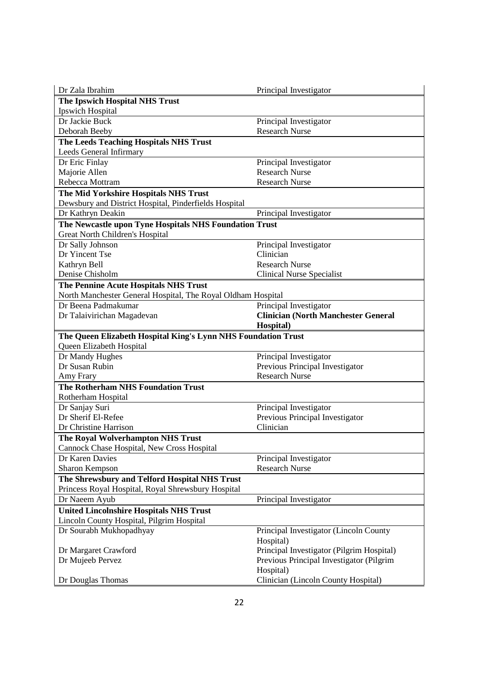| Dr Zala Ibrahim                                               | Principal Investigator                           |  |  |  |  |
|---------------------------------------------------------------|--------------------------------------------------|--|--|--|--|
| The Ipswich Hospital NHS Trust                                |                                                  |  |  |  |  |
| Ipswich Hospital                                              |                                                  |  |  |  |  |
| Dr Jackie Buck                                                | Principal Investigator                           |  |  |  |  |
| Deborah Beeby                                                 | <b>Research Nurse</b>                            |  |  |  |  |
| The Leeds Teaching Hospitals NHS Trust                        |                                                  |  |  |  |  |
| Leeds General Infirmary                                       |                                                  |  |  |  |  |
| Dr Eric Finlay<br>Principal Investigator                      |                                                  |  |  |  |  |
| Majorie Allen                                                 | <b>Research Nurse</b>                            |  |  |  |  |
| Rebecca Mottram                                               | <b>Research Nurse</b>                            |  |  |  |  |
| The Mid Yorkshire Hospitals NHS Trust                         |                                                  |  |  |  |  |
| Dewsbury and District Hospital, Pinderfields Hospital         |                                                  |  |  |  |  |
| Dr Kathryn Deakin                                             | Principal Investigator                           |  |  |  |  |
| The Newcastle upon Tyne Hospitals NHS Foundation Trust        |                                                  |  |  |  |  |
| Great North Children's Hospital                               |                                                  |  |  |  |  |
| Dr Sally Johnson                                              | Principal Investigator                           |  |  |  |  |
| Dr Yincent Tse                                                | Clinician                                        |  |  |  |  |
| Kathryn Bell                                                  | <b>Research Nurse</b>                            |  |  |  |  |
| Denise Chisholm                                               | <b>Clinical Nurse Specialist</b>                 |  |  |  |  |
| The Pennine Acute Hospitals NHS Trust                         |                                                  |  |  |  |  |
| North Manchester General Hospital, The Royal Oldham Hospital  |                                                  |  |  |  |  |
| Dr Beena Padmakumar                                           | Principal Investigator                           |  |  |  |  |
| Dr Talaivirichan Magadevan                                    | <b>Clinician (North Manchester General</b>       |  |  |  |  |
|                                                               | Hospital)                                        |  |  |  |  |
| The Queen Elizabeth Hospital King's Lynn NHS Foundation Trust |                                                  |  |  |  |  |
| Queen Elizabeth Hospital                                      |                                                  |  |  |  |  |
| Dr Mandy Hughes                                               | Principal Investigator                           |  |  |  |  |
|                                                               |                                                  |  |  |  |  |
| Dr Susan Rubin                                                | Previous Principal Investigator                  |  |  |  |  |
| Amy Frary                                                     | <b>Research Nurse</b>                            |  |  |  |  |
| <b>The Rotherham NHS Foundation Trust</b>                     |                                                  |  |  |  |  |
| Rotherham Hospital                                            |                                                  |  |  |  |  |
| Dr Sanjay Suri                                                | Principal Investigator                           |  |  |  |  |
| Dr Sherif El-Refee                                            | Previous Principal Investigator                  |  |  |  |  |
| Dr Christine Harrison                                         | Clinician                                        |  |  |  |  |
| The Royal Wolverhampton NHS Trust                             |                                                  |  |  |  |  |
| Cannock Chase Hospital, New Cross Hospital                    |                                                  |  |  |  |  |
| Dr Karen Davies                                               | Principal Investigator                           |  |  |  |  |
| Sharon Kempson                                                | <b>Research Nurse</b>                            |  |  |  |  |
| The Shrewsbury and Telford Hospital NHS Trust                 |                                                  |  |  |  |  |
| Princess Royal Hospital, Royal Shrewsbury Hospital            |                                                  |  |  |  |  |
| Dr Naeem Ayub                                                 | Principal Investigator                           |  |  |  |  |
| <b>United Lincolnshire Hospitals NHS Trust</b>                |                                                  |  |  |  |  |
| Lincoln County Hospital, Pilgrim Hospital                     |                                                  |  |  |  |  |
| Dr Sourabh Mukhopadhyay                                       | Principal Investigator (Lincoln County           |  |  |  |  |
|                                                               | Hospital)                                        |  |  |  |  |
| Dr Margaret Crawford                                          | Principal Investigator (Pilgrim Hospital)        |  |  |  |  |
| Dr Mujeeb Pervez                                              | Previous Principal Investigator (Pilgrim         |  |  |  |  |
| Dr Douglas Thomas                                             | Hospital)<br>Clinician (Lincoln County Hospital) |  |  |  |  |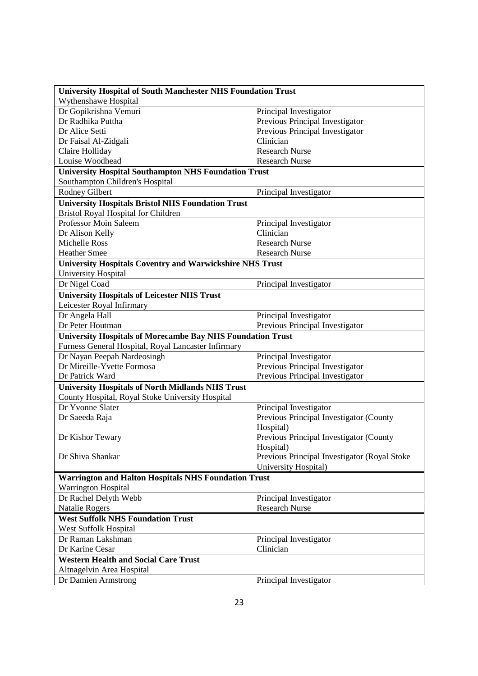| <b>University Hospital of South Manchester NHS Foundation Trust</b> |                                              |  |  |
|---------------------------------------------------------------------|----------------------------------------------|--|--|
| Wythenshawe Hospital                                                |                                              |  |  |
| Dr Gopikrishna Vemuri                                               | Principal Investigator                       |  |  |
| Dr Radhika Puttha                                                   | Previous Principal Investigator              |  |  |
| Dr Alice Setti                                                      | Previous Principal Investigator              |  |  |
| Dr Faisal Al-Zidgali                                                | Clinician                                    |  |  |
| Claire Holliday                                                     | <b>Research Nurse</b>                        |  |  |
| Louise Woodhead                                                     | <b>Research Nurse</b>                        |  |  |
| <b>University Hospital Southampton NHS Foundation Trust</b>         |                                              |  |  |
| Southampton Children's Hospital                                     |                                              |  |  |
| Rodney Gilbert                                                      | Principal Investigator                       |  |  |
| <b>University Hospitals Bristol NHS Foundation Trust</b>            |                                              |  |  |
| Bristol Royal Hospital for Children                                 |                                              |  |  |
| Professor Moin Saleem                                               | Principal Investigator                       |  |  |
| Dr Alison Kelly                                                     | Clinician                                    |  |  |
| <b>Michelle Ross</b>                                                | <b>Research Nurse</b>                        |  |  |
| <b>Heather Smee</b>                                                 | <b>Research Nurse</b>                        |  |  |
| <b>University Hospitals Coventry and Warwickshire NHS Trust</b>     |                                              |  |  |
| <b>University Hospital</b>                                          |                                              |  |  |
| Dr Nigel Coad                                                       | Principal Investigator                       |  |  |
| <b>University Hospitals of Leicester NHS Trust</b>                  |                                              |  |  |
| Leicester Royal Infirmary                                           |                                              |  |  |
| Dr Angela Hall                                                      | Principal Investigator                       |  |  |
| Dr Peter Houtman                                                    | Previous Principal Investigator              |  |  |
| <b>University Hospitals of Morecambe Bay NHS Foundation Trust</b>   |                                              |  |  |
| Furness General Hospital, Royal Lancaster Infirmary                 |                                              |  |  |
| Dr Nayan Peepah Nardeosingh                                         | Principal Investigator                       |  |  |
| Dr Mireille-Yvette Formosa                                          | Previous Principal Investigator              |  |  |
| Dr Patrick Ward                                                     | Previous Principal Investigator              |  |  |
| <b>University Hospitals of North Midlands NHS Trust</b>             |                                              |  |  |
| County Hospital, Royal Stoke University Hospital                    |                                              |  |  |
| Dr Yvonne Slater                                                    | Principal Investigator                       |  |  |
| Dr Saeeda Raja                                                      | Previous Principal Investigator (County      |  |  |
|                                                                     | Hospital)                                    |  |  |
| Dr Kishor Tewary                                                    | Previous Principal Investigator (County      |  |  |
|                                                                     | Hospital)                                    |  |  |
| Dr Shiva Shankar                                                    | Previous Principal Investigator (Royal Stoke |  |  |
|                                                                     | University Hospital)                         |  |  |
| <b>Warrington and Halton Hospitals NHS Foundation Trust</b>         |                                              |  |  |
| <b>Warrington Hospital</b>                                          |                                              |  |  |
| Dr Rachel Delyth Webb                                               | Principal Investigator                       |  |  |
| Natalie Rogers                                                      | <b>Research Nurse</b>                        |  |  |
| <b>West Suffolk NHS Foundation Trust</b>                            |                                              |  |  |
| West Suffolk Hospital                                               |                                              |  |  |
| Dr Raman Lakshman                                                   | Principal Investigator                       |  |  |
| Dr Karine Cesar                                                     | Clinician                                    |  |  |
| <b>Western Health and Social Care Trust</b>                         |                                              |  |  |
| Altnagelvin Area Hospital                                           |                                              |  |  |
| Dr Damien Armstrong                                                 | Principal Investigator                       |  |  |
|                                                                     |                                              |  |  |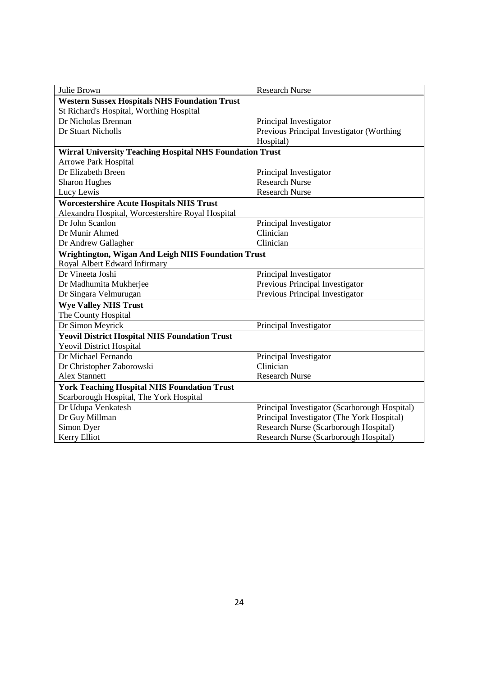| Julie Brown                                                     | <b>Research Nurse</b>                         |  |  |
|-----------------------------------------------------------------|-----------------------------------------------|--|--|
| <b>Western Sussex Hospitals NHS Foundation Trust</b>            |                                               |  |  |
| St Richard's Hospital, Worthing Hospital                        |                                               |  |  |
| Dr Nicholas Brennan                                             | Principal Investigator                        |  |  |
| Dr Stuart Nicholls                                              | Previous Principal Investigator (Worthing     |  |  |
|                                                                 | Hospital)                                     |  |  |
| <b>Wirral University Teaching Hospital NHS Foundation Trust</b> |                                               |  |  |
| <b>Arrowe Park Hospital</b>                                     |                                               |  |  |
| Dr Elizabeth Breen                                              | Principal Investigator                        |  |  |
| <b>Sharon Hughes</b>                                            | <b>Research Nurse</b>                         |  |  |
| Lucy Lewis                                                      | <b>Research Nurse</b>                         |  |  |
| <b>Worcestershire Acute Hospitals NHS Trust</b>                 |                                               |  |  |
| Alexandra Hospital, Worcestershire Royal Hospital               |                                               |  |  |
| Dr John Scanlon                                                 | Principal Investigator                        |  |  |
| Dr Munir Ahmed                                                  | Clinician                                     |  |  |
| Dr Andrew Gallagher                                             | Clinician                                     |  |  |
| <b>Wrightington, Wigan And Leigh NHS Foundation Trust</b>       |                                               |  |  |
| Royal Albert Edward Infirmary                                   |                                               |  |  |
| Dr Vineeta Joshi                                                | Principal Investigator                        |  |  |
| Dr Madhumita Mukherjee                                          | Previous Principal Investigator               |  |  |
| Dr Singara Velmurugan                                           | Previous Principal Investigator               |  |  |
| <b>Wye Valley NHS Trust</b>                                     |                                               |  |  |
| The County Hospital                                             |                                               |  |  |
| Dr Simon Meyrick                                                | Principal Investigator                        |  |  |
| <b>Yeovil District Hospital NHS Foundation Trust</b>            |                                               |  |  |
| <b>Yeovil District Hospital</b>                                 |                                               |  |  |
| Dr Michael Fernando                                             | Principal Investigator                        |  |  |
| Dr Christopher Zaborowski                                       | Clinician                                     |  |  |
| <b>Alex Stannett</b>                                            | <b>Research Nurse</b>                         |  |  |
| <b>York Teaching Hospital NHS Foundation Trust</b>              |                                               |  |  |
| Scarborough Hospital, The York Hospital                         |                                               |  |  |
| Dr Udupa Venkatesh                                              | Principal Investigator (Scarborough Hospital) |  |  |
| Dr Guy Millman                                                  | Principal Investigator (The York Hospital)    |  |  |
| Simon Dyer                                                      | Research Nurse (Scarborough Hospital)         |  |  |
| Kerry Elliot                                                    | Research Nurse (Scarborough Hospital)         |  |  |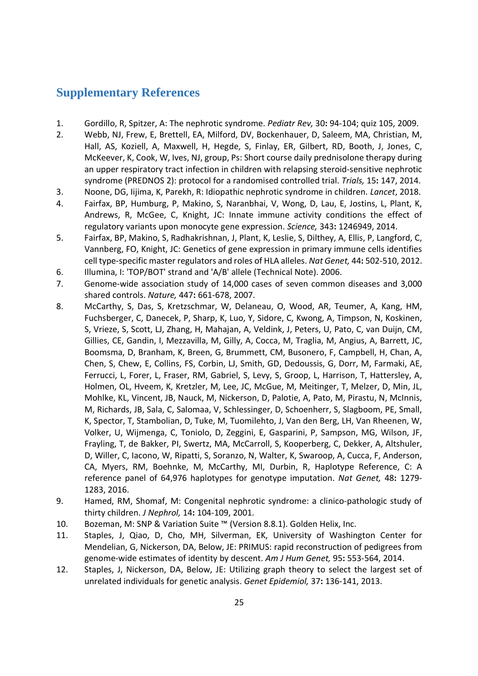## **Supplementary References**

- 1. Gordillo, R, Spitzer, A: The nephrotic syndrome. *Pediatr Rev,* 30**:** 94-104; quiz 105, 2009.
- 2. Webb, NJ, Frew, E, Brettell, EA, Milford, DV, Bockenhauer, D, Saleem, MA, Christian, M, Hall, AS, Koziell, A, Maxwell, H, Hegde, S, Finlay, ER, Gilbert, RD, Booth, J, Jones, C, McKeever, K, Cook, W, Ives, NJ, group, Ps: Short course daily prednisolone therapy during an upper respiratory tract infection in children with relapsing steroid-sensitive nephrotic syndrome (PREDNOS 2): protocol for a randomised controlled trial. *Trials,* 15**:** 147, 2014.
- 3. Noone, DG, Iijima, K, Parekh, R: Idiopathic nephrotic syndrome in children. *Lancet*, 2018.
- 4. Fairfax, BP, Humburg, P, Makino, S, Naranbhai, V, Wong, D, Lau, E, Jostins, L, Plant, K, Andrews, R, McGee, C, Knight, JC: Innate immune activity conditions the effect of regulatory variants upon monocyte gene expression. *Science,* 343**:** 1246949, 2014.
- 5. Fairfax, BP, Makino, S, Radhakrishnan, J, Plant, K, Leslie, S, Dilthey, A, Ellis, P, Langford, C, Vannberg, FO, Knight, JC: Genetics of gene expression in primary immune cells identifies cell type-specific master regulators and roles of HLA alleles. *Nat Genet,* 44**:** 502-510, 2012.
- 6. Illumina, I: 'TOP/BOT' strand and 'A/B' allele (Technical Note). 2006.
- 7. Genome-wide association study of 14,000 cases of seven common diseases and 3,000 shared controls. *Nature,* 447**:** 661-678, 2007.
- 8. McCarthy, S, Das, S, Kretzschmar, W, Delaneau, O, Wood, AR, Teumer, A, Kang, HM, Fuchsberger, C, Danecek, P, Sharp, K, Luo, Y, Sidore, C, Kwong, A, Timpson, N, Koskinen, S, Vrieze, S, Scott, LJ, Zhang, H, Mahajan, A, Veldink, J, Peters, U, Pato, C, van Duijn, CM, Gillies, CE, Gandin, I, Mezzavilla, M, Gilly, A, Cocca, M, Traglia, M, Angius, A, Barrett, JC, Boomsma, D, Branham, K, Breen, G, Brummett, CM, Busonero, F, Campbell, H, Chan, A, Chen, S, Chew, E, Collins, FS, Corbin, LJ, Smith, GD, Dedoussis, G, Dorr, M, Farmaki, AE, Ferrucci, L, Forer, L, Fraser, RM, Gabriel, S, Levy, S, Groop, L, Harrison, T, Hattersley, A, Holmen, OL, Hveem, K, Kretzler, M, Lee, JC, McGue, M, Meitinger, T, Melzer, D, Min, JL, Mohlke, KL, Vincent, JB, Nauck, M, Nickerson, D, Palotie, A, Pato, M, Pirastu, N, McInnis, M, Richards, JB, Sala, C, Salomaa, V, Schlessinger, D, Schoenherr, S, Slagboom, PE, Small, K, Spector, T, Stambolian, D, Tuke, M, Tuomilehto, J, Van den Berg, LH, Van Rheenen, W, Volker, U, Wijmenga, C, Toniolo, D, Zeggini, E, Gasparini, P, Sampson, MG, Wilson, JF, Frayling, T, de Bakker, PI, Swertz, MA, McCarroll, S, Kooperberg, C, Dekker, A, Altshuler, D, Willer, C, Iacono, W, Ripatti, S, Soranzo, N, Walter, K, Swaroop, A, Cucca, F, Anderson, CA, Myers, RM, Boehnke, M, McCarthy, MI, Durbin, R, Haplotype Reference, C: A reference panel of 64,976 haplotypes for genotype imputation. *Nat Genet,* 48**:** 1279- 1283, 2016.
- 9. Hamed, RM, Shomaf, M: Congenital nephrotic syndrome: a clinico-pathologic study of thirty children. *J Nephrol,* 14**:** 104-109, 2001.
- 10. Bozeman, M: SNP & Variation Suite ™ (Version 8.8.1). Golden Helix, Inc.
- 11. Staples, J, Qiao, D, Cho, MH, Silverman, EK, University of Washington Center for Mendelian, G, Nickerson, DA, Below, JE: PRIMUS: rapid reconstruction of pedigrees from genome-wide estimates of identity by descent. *Am J Hum Genet,* 95**:** 553-564, 2014.
- 12. Staples, J, Nickerson, DA, Below, JE: Utilizing graph theory to select the largest set of unrelated individuals for genetic analysis. *Genet Epidemiol,* 37**:** 136-141, 2013.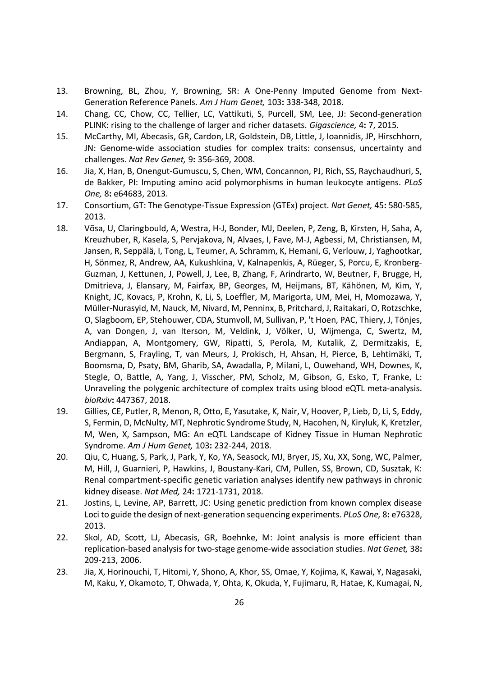- 13. Browning, BL, Zhou, Y, Browning, SR: A One-Penny Imputed Genome from Next-Generation Reference Panels. *Am J Hum Genet,* 103**:** 338-348, 2018.
- 14. Chang, CC, Chow, CC, Tellier, LC, Vattikuti, S, Purcell, SM, Lee, JJ: Second-generation PLINK: rising to the challenge of larger and richer datasets. *Gigascience,* 4**:** 7, 2015.
- 15. McCarthy, MI, Abecasis, GR, Cardon, LR, Goldstein, DB, Little, J, Ioannidis, JP, Hirschhorn, JN: Genome-wide association studies for complex traits: consensus, uncertainty and challenges. *Nat Rev Genet,* 9**:** 356-369, 2008.
- 16. Jia, X, Han, B, Onengut-Gumuscu, S, Chen, WM, Concannon, PJ, Rich, SS, Raychaudhuri, S, de Bakker, PI: Imputing amino acid polymorphisms in human leukocyte antigens. *PLoS One,* 8**:** e64683, 2013.
- 17. Consortium, GT: The Genotype-Tissue Expression (GTEx) project. *Nat Genet,* 45**:** 580-585, 2013.
- 18. Võsa, U, Claringbould, A, Westra, H-J, Bonder, MJ, Deelen, P, Zeng, B, Kirsten, H, Saha, A, Kreuzhuber, R, Kasela, S, Pervjakova, N, Alvaes, I, Fave, M-J, Agbessi, M, Christiansen, M, Jansen, R, Seppälä, I, Tong, L, Teumer, A, Schramm, K, Hemani, G, Verlouw, J, Yaghootkar, H, Sönmez, R, Andrew, AA, Kukushkina, V, Kalnapenkis, A, Rüeger, S, Porcu, E, Kronberg-Guzman, J, Kettunen, J, Powell, J, Lee, B, Zhang, F, Arindrarto, W, Beutner, F, Brugge, H, Dmitrieva, J, Elansary, M, Fairfax, BP, Georges, M, Heijmans, BT, Kähönen, M, Kim, Y, Knight, JC, Kovacs, P, Krohn, K, Li, S, Loeffler, M, Marigorta, UM, Mei, H, Momozawa, Y, Müller-Nurasyid, M, Nauck, M, Nivard, M, Penninx, B, Pritchard, J, Raitakari, O, Rotzschke, O, Slagboom, EP, Stehouwer, CDA, Stumvoll, M, Sullivan, P, 't Hoen, PAC, Thiery, J, Tönjes, A, van Dongen, J, van Iterson, M, Veldink, J, Völker, U, Wijmenga, C, Swertz, M, Andiappan, A, Montgomery, GW, Ripatti, S, Perola, M, Kutalik, Z, Dermitzakis, E, Bergmann, S, Frayling, T, van Meurs, J, Prokisch, H, Ahsan, H, Pierce, B, Lehtimäki, T, Boomsma, D, Psaty, BM, Gharib, SA, Awadalla, P, Milani, L, Ouwehand, WH, Downes, K, Stegle, O, Battle, A, Yang, J, Visscher, PM, Scholz, M, Gibson, G, Esko, T, Franke, L: Unraveling the polygenic architecture of complex traits using blood eQTL meta-analysis. *bioRxiv***:** 447367, 2018.
- 19. Gillies, CE, Putler, R, Menon, R, Otto, E, Yasutake, K, Nair, V, Hoover, P, Lieb, D, Li, S, Eddy, S, Fermin, D, McNulty, MT, Nephrotic Syndrome Study, N, Hacohen, N, Kiryluk, K, Kretzler, M, Wen, X, Sampson, MG: An eQTL Landscape of Kidney Tissue in Human Nephrotic Syndrome. *Am J Hum Genet,* 103**:** 232-244, 2018.
- 20. Qiu, C, Huang, S, Park, J, Park, Y, Ko, YA, Seasock, MJ, Bryer, JS, Xu, XX, Song, WC, Palmer, M, Hill, J, Guarnieri, P, Hawkins, J, Boustany-Kari, CM, Pullen, SS, Brown, CD, Susztak, K: Renal compartment-specific genetic variation analyses identify new pathways in chronic kidney disease. *Nat Med,* 24**:** 1721-1731, 2018.
- 21. Jostins, L, Levine, AP, Barrett, JC: Using genetic prediction from known complex disease Loci to guide the design of next-generation sequencing experiments. *PLoS One,* 8**:** e76328, 2013.
- 22. Skol, AD, Scott, LJ, Abecasis, GR, Boehnke, M: Joint analysis is more efficient than replication-based analysis for two-stage genome-wide association studies. *Nat Genet,* 38**:** 209-213, 2006.
- 23. Jia, X, Horinouchi, T, Hitomi, Y, Shono, A, Khor, SS, Omae, Y, Kojima, K, Kawai, Y, Nagasaki, M, Kaku, Y, Okamoto, T, Ohwada, Y, Ohta, K, Okuda, Y, Fujimaru, R, Hatae, K, Kumagai, N,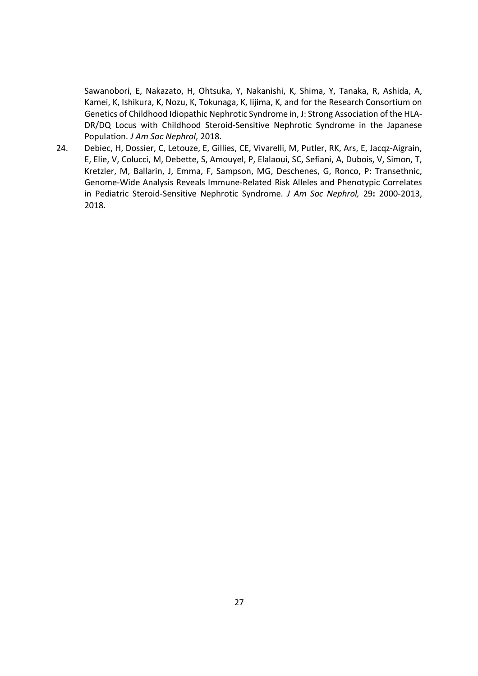Sawanobori, E, Nakazato, H, Ohtsuka, Y, Nakanishi, K, Shima, Y, Tanaka, R, Ashida, A, Kamei, K, Ishikura, K, Nozu, K, Tokunaga, K, Iijima, K, and for the Research Consortium on Genetics of Childhood Idiopathic Nephrotic Syndrome in, J: Strong Association of the HLA-DR/DQ Locus with Childhood Steroid-Sensitive Nephrotic Syndrome in the Japanese Population. *J Am Soc Nephrol*, 2018.

24. Debiec, H, Dossier, C, Letouze, E, Gillies, CE, Vivarelli, M, Putler, RK, Ars, E, Jacqz-Aigrain, E, Elie, V, Colucci, M, Debette, S, Amouyel, P, Elalaoui, SC, Sefiani, A, Dubois, V, Simon, T, Kretzler, M, Ballarin, J, Emma, F, Sampson, MG, Deschenes, G, Ronco, P: Transethnic, Genome-Wide Analysis Reveals Immune-Related Risk Alleles and Phenotypic Correlates in Pediatric Steroid-Sensitive Nephrotic Syndrome. *J Am Soc Nephrol,* 29**:** 2000-2013, 2018.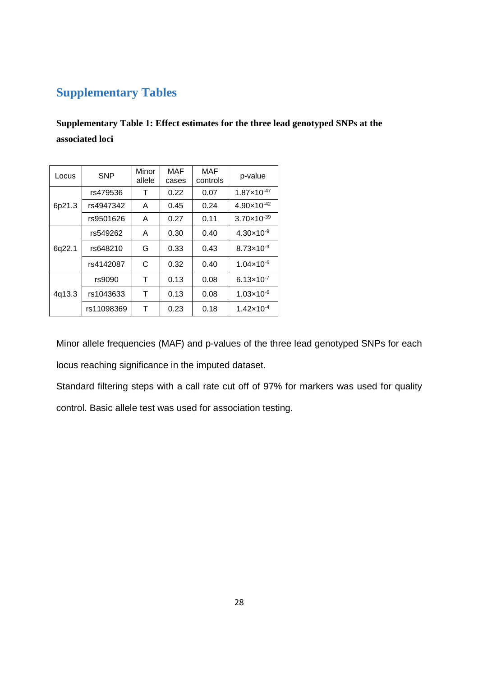## **Supplementary Tables**

## **Supplementary Table 1: Effect estimates for the three lead genotyped SNPs at the associated loci**

| Locus  | <b>SNP</b> | Minor<br>allele | <b>MAF</b><br>cases | <b>MAF</b><br>controls | p-value                |  |
|--------|------------|-----------------|---------------------|------------------------|------------------------|--|
| 6p21.3 | rs479536   | т               | 0.22                | 0.07                   | $1.87 \times 10^{-47}$ |  |
|        | rs4947342  | A               | 0.45<br>0.24        |                        | $4.90 \times 10^{-42}$ |  |
|        | rs9501626  | A               | 0.27                | 0.11                   | $3.70 \times 10^{-39}$ |  |
| 6q22.1 | rs549262   | A               | 0.30                | 0.40                   | $4.30\times10^{-9}$    |  |
|        | rs648210   | G               | 0.33                | 0.43                   | $8.73 \times 10^{-9}$  |  |
|        | rs4142087  | С               | 0.32                | 0.40                   | $1.04 \times 10^{-6}$  |  |
| 4q13.3 | rs9090     | т               | 0.13                | 0.08                   | $6.13 \times 10^{-7}$  |  |
|        | rs1043633  | т               | 0.13                | 0.08                   | $1.03 \times 10^{-6}$  |  |
|        | rs11098369 | т               | 0.23                | 0.18                   | $1.42 \times 10^{-4}$  |  |

Minor allele frequencies (MAF) and p-values of the three lead genotyped SNPs for each locus reaching significance in the imputed dataset.

Standard filtering steps with a call rate cut off of 97% for markers was used for quality control. Basic allele test was used for association testing.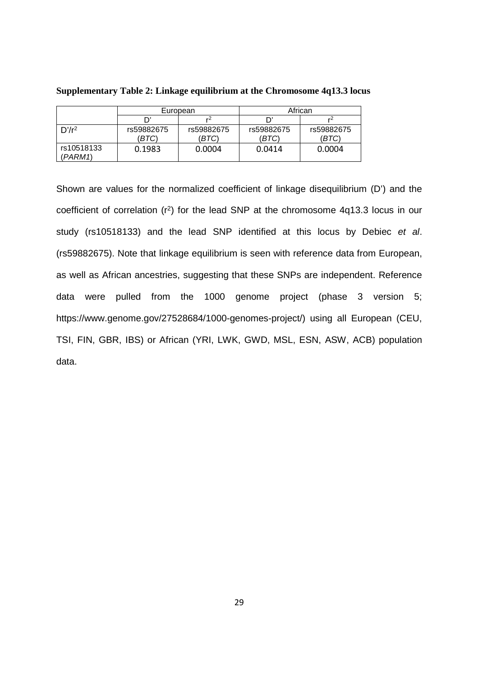|                      |                     | European            | African             |                     |  |
|----------------------|---------------------|---------------------|---------------------|---------------------|--|
|                      | D                   |                     | n                   |                     |  |
| $D^{\prime}/r^2$     | rs59882675<br>'BTC) | rs59882675<br>'BTC) | rs59882675<br>'BTC) | rs59882675<br>(BTC) |  |
| rs10518133<br>PARM1) | 0.1983              | 0.0004              | 0.0414              | 0.0004              |  |

**Supplementary Table 2: Linkage equilibrium at the Chromosome 4q13.3 locus**

Shown are values for the normalized coefficient of linkage disequilibrium (D') and the coefficient of correlation  $(r^2)$  for the lead SNP at the chromosome 4q13.3 locus in our study (rs10518133) and the lead SNP identified at this locus by Debiec *et al*. (rs59882675). Note that linkage equilibrium is seen with reference data from European, as well as African ancestries, suggesting that these SNPs are independent. Reference data were pulled from the 1000 genome project (phase 3 version 5; https://www.genome.gov/27528684/1000-genomes-project/) using all European (CEU, TSI, FIN, GBR, IBS) or African (YRI, LWK, GWD, MSL, ESN, ASW, ACB) population data.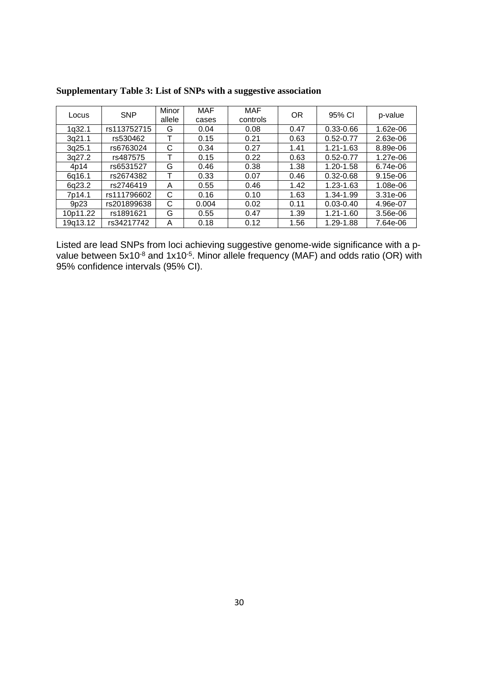| Locus    | <b>SNP</b>  | Minor<br>allele | <b>MAF</b><br>cases | <b>MAF</b><br>controls | OR   | 95% CI        | p-value    |
|----------|-------------|-----------------|---------------------|------------------------|------|---------------|------------|
| 1q32.1   | rs113752715 | G               | 0.04                | 0.08                   | 0.47 | $0.33 - 0.66$ | 1.62e-06   |
| 3q21.1   | rs530462    |                 | 0.15                | 0.21                   | 0.63 | $0.52 - 0.77$ | 2.63e-06   |
| 3q25.1   | rs6763024   | С               | 0.34                | 0.27                   | 1.41 | $1.21 - 1.63$ | 8.89e-06   |
| 3q27.2   | rs487575    |                 | 0.15                | 0.22                   | 0.63 | $0.52 - 0.77$ | 1.27e-06   |
| 4p14     | rs6531527   | G               | 0.46                | 0.38                   | 1.38 | 1.20-1.58     | 6.74e-06   |
| 6q16.1   | rs2674382   | т               | 0.33                | 0.07                   | 0.46 | $0.32 - 0.68$ | $9.15e-06$ |
| 6q23.2   | rs2746419   | A               | 0.55                | 0.46                   | 1.42 | 1.23-1.63     | 1.08e-06   |
| 7p14.1   | rs111796602 | C               | 0.16                | 0.10                   | 1.63 | 1.34-1.99     | 3.31e-06   |
| 9p23     | rs201899638 | C               | 0.004               | 0.02                   | 0.11 | $0.03 - 0.40$ | 4.96e-07   |
| 10p11.22 | rs1891621   | G               | 0.55                | 0.47                   | 1.39 | $1.21 - 1.60$ | 3.56e-06   |
| 19q13.12 | rs34217742  | A               | 0.18                | 0.12                   | 1.56 | 1.29-1.88     | 7.64e-06   |

#### **Supplementary Table 3: List of SNPs with a suggestive association**

Listed are lead SNPs from loci achieving suggestive genome-wide significance with a pvalue between 5x10<sup>-8</sup> and 1x10<sup>-5</sup>. Minor allele frequency (MAF) and odds ratio (OR) with 95% confidence intervals (95% CI).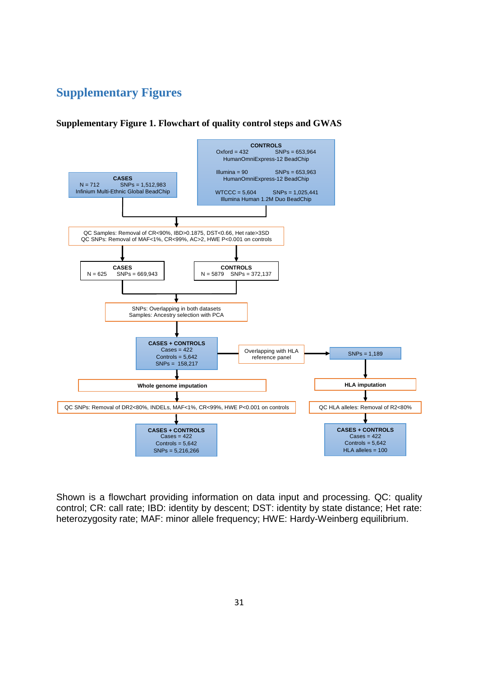## **Supplementary Figures**



**Supplementary Figure 1. Flowchart of quality control steps and GWAS**

Shown is a flowchart providing information on data input and processing. QC: quality control; CR: call rate; IBD: identity by descent; DST: identity by state distance; Het rate: heterozygosity rate; MAF: minor allele frequency; HWE: Hardy-Weinberg equilibrium.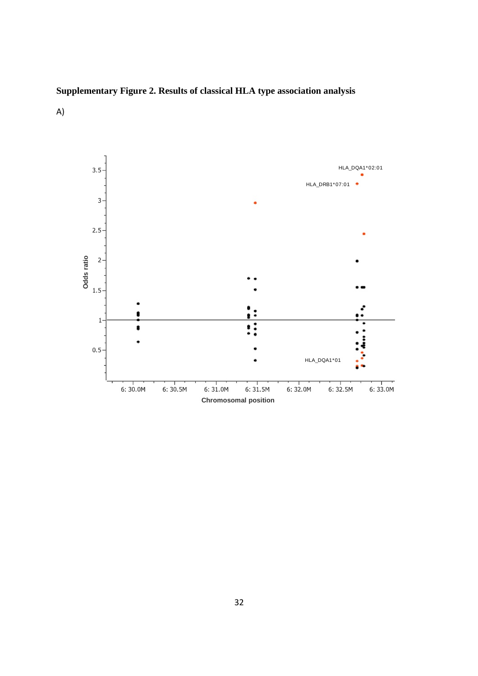



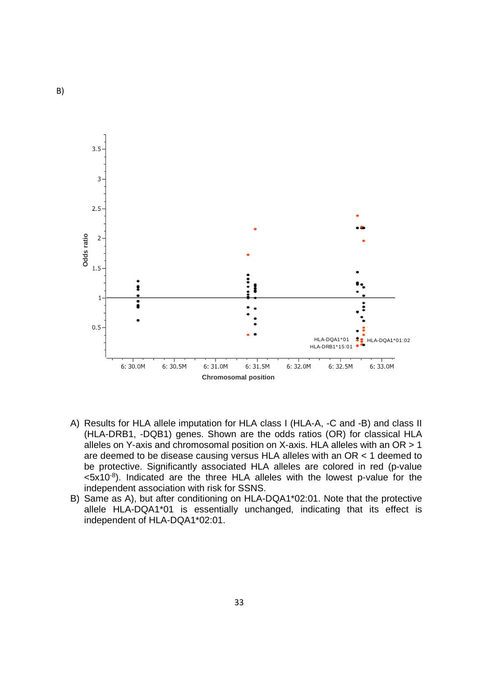

- A) Results for HLA allele imputation for HLA class I (HLA-A, -C and -B) and class II (HLA-DRB1, -DQB1) genes. Shown are the odds ratios (OR) for classical HLA alleles on Y-axis and chromosomal position on X-axis. HLA alleles with an OR > 1 are deemed to be disease causing versus HLA alleles with an OR < 1 deemed to be protective. Significantly associated HLA alleles are colored in red (p-value  $5x10^{-8}$ ). Indicated are the three HLA alleles with the lowest p-value for the independent association with risk for SSNS.
- B) Same as A), but after conditioning on HLA-DQA1\*02:01. Note that the protective allele HLA-DQA1\*01 is essentially unchanged, indicating that its effect is independent of HLA-DQA1\*02:01.

B)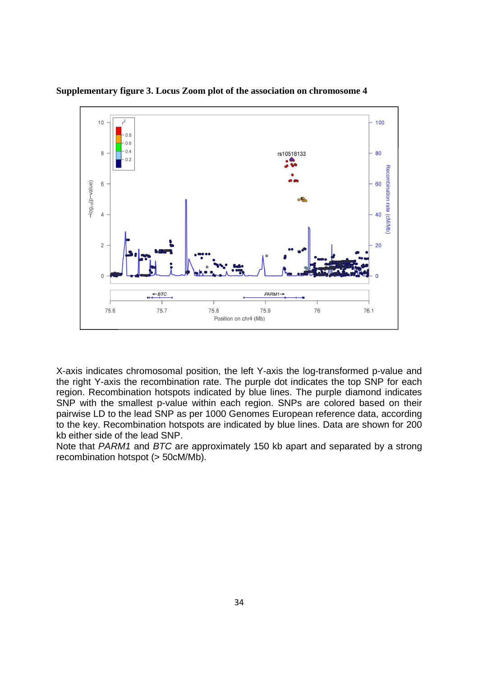

#### **Supplementary figure 3. Locus Zoom plot of the association on chromosome 4**

X-axis indicates chromosomal position, the left Y-axis the log-transformed p-value and the right Y-axis the recombination rate. The purple dot indicates the top SNP for each region. Recombination hotspots indicated by blue lines. The purple diamond indicates SNP with the smallest p-value within each region. SNPs are colored based on their pairwise LD to the lead SNP as per 1000 Genomes European reference data, according to the key. Recombination hotspots are indicated by blue lines. Data are shown for 200 kb either side of the lead SNP.

Note that *PARM1* and *BTC* are approximately 150 kb apart and separated by a strong recombination hotspot (> 50cM/Mb).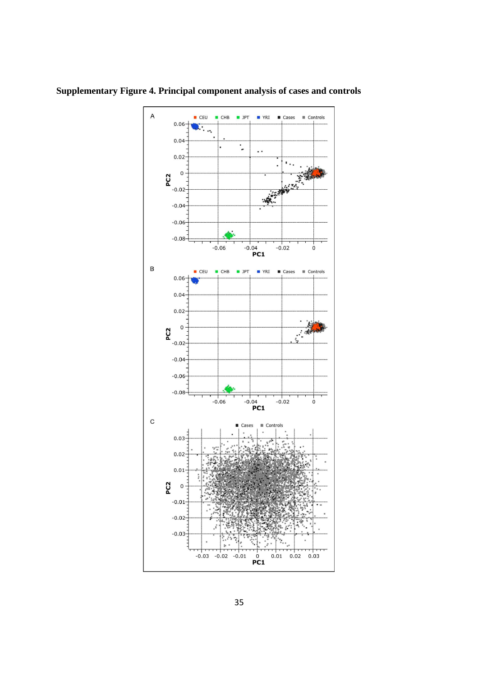

## **Supplementary Figure 4. Principal component analysis of cases and controls**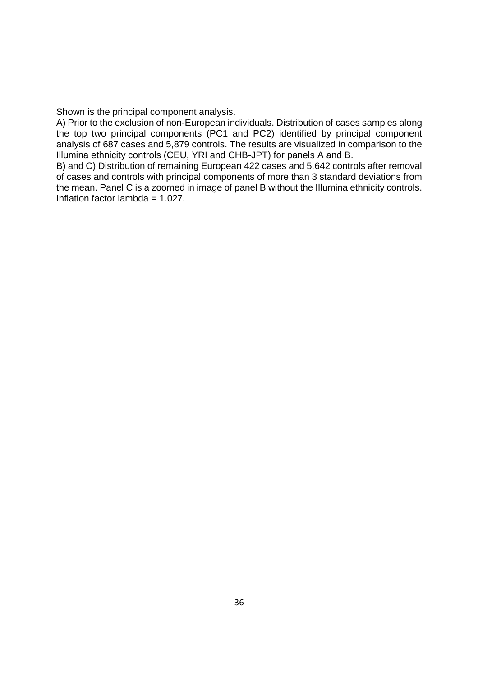Shown is the principal component analysis.

A) Prior to the exclusion of non-European individuals. Distribution of cases samples along the top two principal components (PC1 and PC2) identified by principal component analysis of 687 cases and 5,879 controls. The results are visualized in comparison to the Illumina ethnicity controls (CEU, YRI and CHB-JPT) for panels A and B.

B) and C) Distribution of remaining European 422 cases and 5,642 controls after removal of cases and controls with principal components of more than 3 standard deviations from the mean. Panel C is a zoomed in image of panel B without the Illumina ethnicity controls. Inflation factor lambda = 1.027.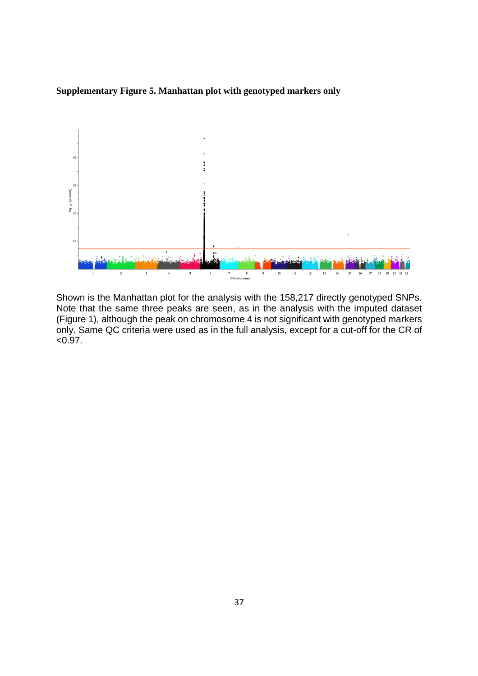**Supplementary Figure 5. Manhattan plot with genotyped markers only**



Shown is the Manhattan plot for the analysis with the 158,217 directly genotyped SNPs. Note that the same three peaks are seen, as in the analysis with the imputed dataset (Figure 1), although the peak on chromosome 4 is not significant with genotyped markers only. Same QC criteria were used as in the full analysis, except for a cut-off for the CR of  $< 0.97.$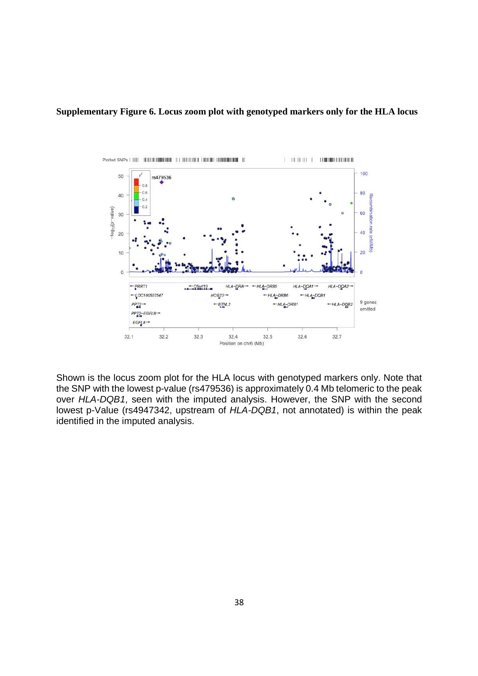#### **Supplementary Figure 6. Locus zoom plot with genotyped markers only for the HLA locus**



Shown is the locus zoom plot for the HLA locus with genotyped markers only. Note that the SNP with the lowest p-value (rs479536) is approximately 0.4 Mb telomeric to the peak over *HLA-DQB1*, seen with the imputed analysis. However, the SNP with the second lowest p-Value (rs4947342, upstream of *HLA-DQB1*, not annotated) is within the peak identified in the imputed analysis.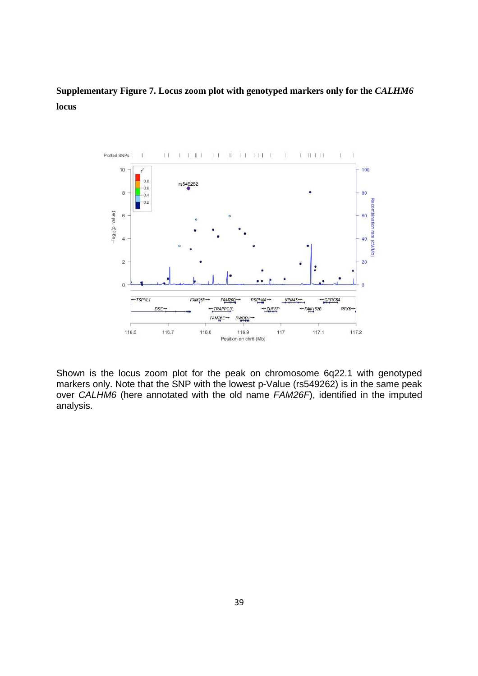## **Supplementary Figure 7. Locus zoom plot with genotyped markers only for the** *CALHM6* **locus**



Shown is the locus zoom plot for the peak on chromosome 6q22.1 with genotyped markers only. Note that the SNP with the lowest p-Value (rs549262) is in the same peak over *CALHM6* (here annotated with the old name *FAM26F*), identified in the imputed analysis.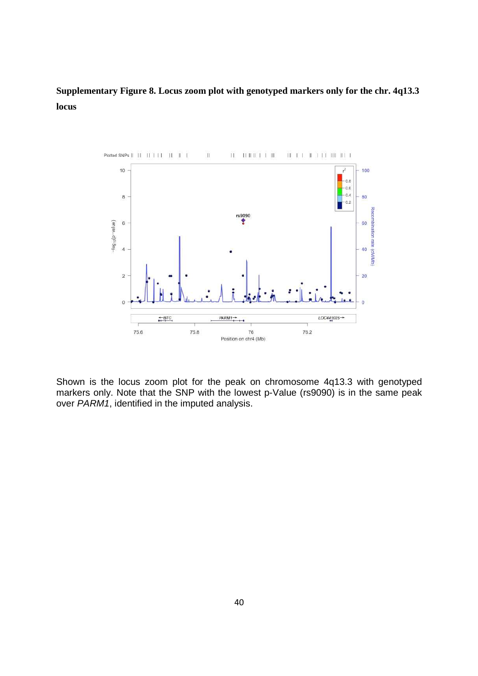## **Supplementary Figure 8. Locus zoom plot with genotyped markers only for the chr. 4q13.3 locus**



Shown is the locus zoom plot for the peak on chromosome 4q13.3 with genotyped markers only. Note that the SNP with the lowest p-Value (rs9090) is in the same peak over *PARM1*, identified in the imputed analysis.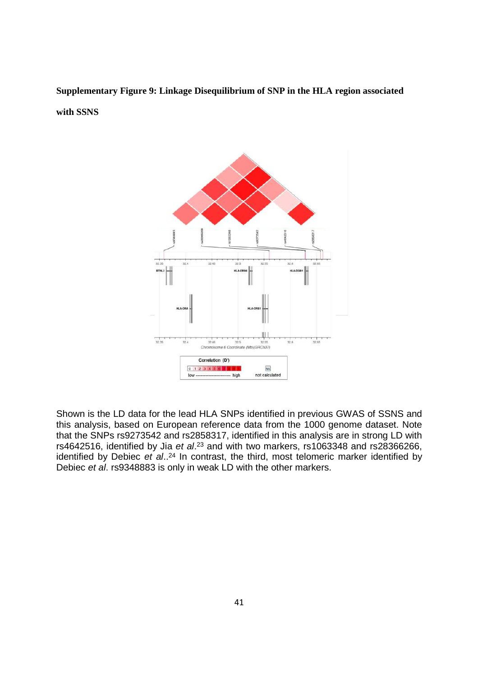**Supplementary Figure 9: Linkage Disequilibrium of SNP in the HLA region associated with SSNS**



Shown is the LD data for the lead HLA SNPs identified in previous GWAS of SSNS and this analysis, based on European reference data from the 1000 genome dataset. Note that the SNPs rs9273542 and rs2858317, identified in this analysis are in strong LD with rs4642516, identified by Jia et al.<sup>23</sup> and with two markers, rs1063348 and rs28366266, identified by Debiec *et al.*.<sup>24</sup> In contrast, the third, most telomeric marker identified by Debiec *et al*. rs9348883 is only in weak LD with the other markers.